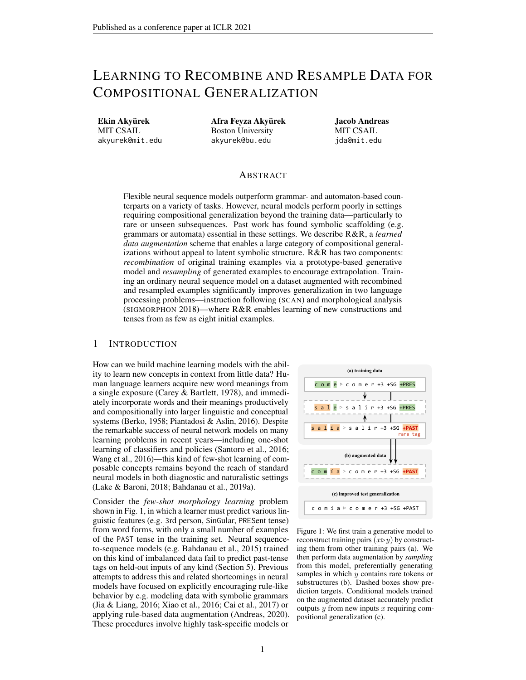# LEARNING TO RECOMBINE AND RESAMPLE DATA FOR COMPOSITIONAL GENERALIZATION

Ekin Akyürek MIT CSAIL akyurek@mit.edu Afra Feyza Akyürek Boston University akyurek@bu.edu

Jacob Andreas MIT CSAIL jda@mit.edu

## ABSTRACT

Flexible neural sequence models outperform grammar- and automaton-based counterparts on a variety of tasks. However, neural models perform poorly in settings requiring compositional generalization beyond the training data—particularly to rare or unseen subsequences. Past work has found symbolic scaffolding (e.g. grammars or automata) essential in these settings. We describe R&R, a *learned data augmentation* scheme that enables a large category of compositional generalizations without appeal to latent symbolic structure. R&R has two components: *recombination* of original training examples via a prototype-based generative model and *resampling* of generated examples to encourage extrapolation. Training an ordinary neural sequence model on a dataset augmented with recombined and resampled examples significantly improves generalization in two language processing problems—instruction following (SCAN) and morphological analysis (SIGMORPHON 2018)—where R&R enables learning of new constructions and tenses from as few as eight initial examples.

#### <span id="page-0-1"></span>1 INTRODUCTION

How can we build machine learning models with the ability to learn new concepts in context from little data? Human language learners acquire new word meanings from a single exposure [\(Carey & Bartlett, 1978\)](#page-9-0), and immediately incorporate words and their meanings productively and compositionally into larger linguistic and conceptual systems [\(Berko, 1958;](#page-9-1) [Piantadosi & Aslin, 2016\)](#page-11-0). Despite the remarkable success of neural network models on many learning problems in recent years—including one-shot learning of classifiers and policies [\(Santoro et al., 2016;](#page-11-1) [Wang et al., 2016\)](#page-11-2)—this kind of few-shot learning of composable concepts remains beyond the reach of standard neural models in both diagnostic and naturalistic settings [\(Lake & Baroni, 2018;](#page-10-0) [Bahdanau et al., 2019a\)](#page-9-2).

Consider the *few-shot morphology learning* problem shown in Fig. [1,](#page-0-0) in which a learner must predict various linguistic features (e.g. 3rd person, SinGular, PRESent tense) from word forms, with only a small number of examples of the PAST tense in the training set. Neural sequenceto-sequence models (e.g. [Bahdanau et al., 2015\)](#page-9-3) trained on this kind of imbalanced data fail to predict past-tense tags on held-out inputs of any kind (Section [5\)](#page-5-0). Previous attempts to address this and related shortcomings in neural models have focused on explicitly encouraging rule-like behavior by e.g. modeling data with symbolic grammars [\(Jia & Liang, 2016;](#page-10-1) [Xiao et al., 2016;](#page-12-0) [Cai et al., 2017\)](#page-9-4) or applying rule-based data augmentation [\(Andreas, 2020\)](#page-8-0). These procedures involve highly task-specific models or

<span id="page-0-0"></span>

Figure 1: We first train a generative model to reconstruct training pairs  $(x \triangleright y)$  by constructing them from other training pairs (a). We then perform data augmentation by *sampling* from this model, preferentially generating samples in which  $y$  contains rare tokens or substructures (b). Dashed boxes show prediction targets. Conditional models trained on the augmented dataset accurately predict outputs  $y$  from new inputs  $x$  requiring compositional generalization (c).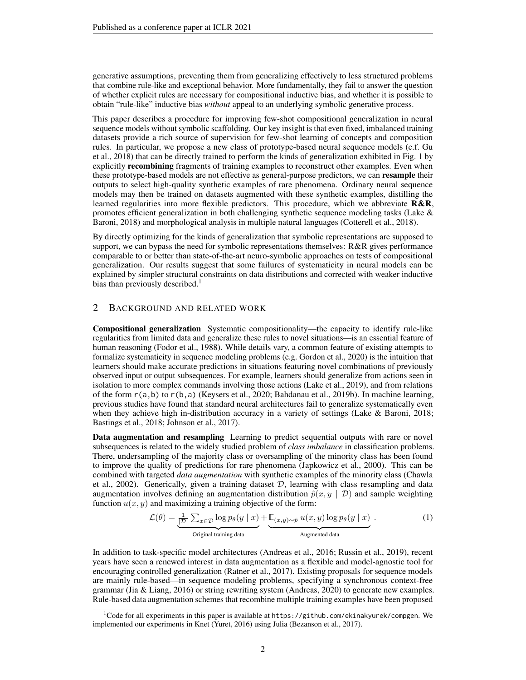generative assumptions, preventing them from generalizing effectively to less structured problems that combine rule-like and exceptional behavior. More fundamentally, they fail to answer the question of whether explicit rules are necessary for compositional inductive bias, and whether it is possible to obtain "rule-like" inductive bias *without* appeal to an underlying symbolic generative process.

This paper describes a procedure for improving few-shot compositional generalization in neural sequence models without symbolic scaffolding. Our key insight is that even fixed, imbalanced training datasets provide a rich source of supervision for few-shot learning of concepts and composition rules. In particular, we propose a new class of prototype-based neural sequence models (c.f. [Gu](#page-10-2) [et al., 2018\)](#page-10-2) that can be directly trained to perform the kinds of generalization exhibited in Fig. [1](#page-0-0) by explicitly **recombining** fragments of training examples to reconstruct other examples. Even when these prototype-based models are not effective as general-purpose predictors, we can resample their outputs to select high-quality synthetic examples of rare phenomena. Ordinary neural sequence models may then be trained on datasets augmented with these synthetic examples, distilling the learned regularities into more flexible predictors. This procedure, which we abbreviate  $R\&R$ , promotes efficient generalization in both challenging synthetic sequence modeling tasks [\(Lake &](#page-10-0) [Baroni, 2018\)](#page-10-0) and morphological analysis in multiple natural languages [\(Cotterell et al., 2018\)](#page-9-5).

By directly optimizing for the kinds of generalization that symbolic representations are supposed to support, we can bypass the need for symbolic representations themselves: R&R gives performance comparable to or better than state-of-the-art neuro-symbolic approaches on tests of compositional generalization. Our results suggest that some failures of systematicity in neural models can be explained by simpler structural constraints on data distributions and corrected with weaker inductive bias than previously described.<sup>[1](#page-1-0)</sup>

## 2 BACKGROUND AND RELATED WORK

Compositional generalization Systematic compositionality—the capacity to identify rule-like regularities from limited data and generalize these rules to novel situations—is an essential feature of human reasoning [\(Fodor et al., 1988\)](#page-9-6). While details vary, a common feature of existing attempts to formalize systematicity in sequence modeling problems (e.g. [Gordon et al., 2020\)](#page-9-7) is the intuition that learners should make accurate predictions in situations featuring novel combinations of previously observed input or output subsequences. For example, learners should generalize from actions seen in isolation to more complex commands involving those actions [\(Lake et al., 2019\)](#page-10-3), and from relations of the form r(a,b) to r(b,a) [\(Keysers et al., 2020;](#page-10-4) [Bahdanau et al., 2019b\)](#page-9-8). In machine learning, previous studies have found that standard neural architectures fail to generalize systematically even when they achieve high in-distribution accuracy in a variety of settings [\(Lake & Baroni, 2018;](#page-10-0) [Bastings et al., 2018;](#page-9-9) [Johnson et al., 2017\)](#page-10-5).

Data augmentation and resampling Learning to predict sequential outputs with rare or novel subsequences is related to the widely studied problem of *class imbalance* in classification problems. There, undersampling of the majority class or oversampling of the minority class has been found to improve the quality of predictions for rare phenomena [\(Japkowicz et al., 2000\)](#page-10-6). This can be combined with targeted *data augmentation* with synthetic examples of the minority class [\(Chawla](#page-9-10) [et al., 2002\)](#page-9-10). Generically, given a training dataset  $D$ , learning with class resampling and data augmentation involves defining an augmentation distribution  $\tilde{p}(x, y | \mathcal{D})$  and sample weighting function  $u(x, y)$  and maximizing a training objective of the form:

<span id="page-1-1"></span>
$$
\mathcal{L}(\theta) = \underbrace{\frac{1}{|\mathcal{D}|} \sum_{x \in \mathcal{D}} \log p_{\theta}(y \mid x)}_{\text{Original training data}} + \underbrace{\mathbb{E}_{(x,y) \sim \tilde{p}} u(x, y) \log p_{\theta}(y \mid x)}_{\text{Augmented data}}.
$$
\n(1)

In addition to task-specific model architectures [\(Andreas et al., 2016;](#page-9-11) [Russin et al., 2019\)](#page-11-3), recent years have seen a renewed interest in data augmentation as a flexible and model-agnostic tool for encouraging controlled generalization [\(Ratner et al., 2017\)](#page-11-4). Existing proposals for sequence models are mainly rule-based—in sequence modeling problems, specifying a synchronous context-free grammar [\(Jia & Liang, 2016\)](#page-10-1) or string rewriting system [\(Andreas, 2020\)](#page-8-0) to generate new examples. Rule-based data augmentation schemes that recombine multiple training examples have been proposed

<span id="page-1-0"></span><sup>&</sup>lt;sup>1</sup>Code for all experiments in this paper is available at <https://github.com/ekinakyurek/compgen>. We implemented our experiments in Knet [\(Yuret, 2016\)](#page-12-1) using Julia [\(Bezanson et al., 2017\)](#page-9-12).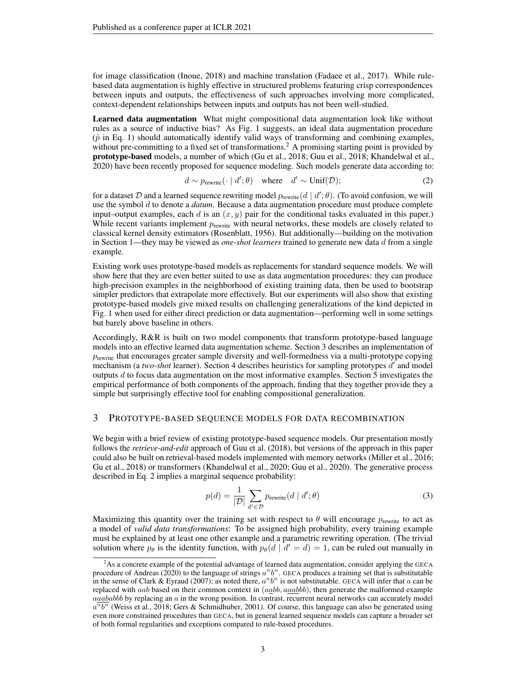for image classification [\(Inoue, 2018\)](#page-10-7) and machine translation [\(Fadaee et al., 2017\)](#page-9-13). While rulebased data augmentation is highly effective in structured problems featuring crisp correspondences between inputs and outputs, the effectiveness of such approaches involving more complicated, context-dependent relationships between inputs and outputs has not been well-studied.

Learned data augmentation What might compositional data augmentation look like without rules as a source of inductive bias? As Fig. [1](#page-0-0) suggests, an ideal data augmentation procedure  $(\tilde{p}$  in Eq. [1\)](#page-1-1) should automatically identify valid ways of transforming and combining examples, without pre-committing to a fixed set of transformations.<sup>[2](#page-2-0)</sup> A promising starting point is provided by prototype-based models, a number of which [\(Gu et al., 2018;](#page-10-2) [Guu et al., 2018;](#page-10-8) [Khandelwal et al.,](#page-10-9) [2020\)](#page-10-9) have been recently proposed for sequence modeling. Such models generate data according to:

<span id="page-2-2"></span>
$$
d \sim p_{\text{rewrite}}(\cdot \mid d'; \theta) \quad \text{where} \quad d' \sim \text{Unif}(\mathcal{D}); \tag{2}
$$

for a dataset  $D$  and a learned sequence rewriting model  $p_{\text{rewrite}}(d \mid d'; \theta)$ . (To avoid confusion, we will use the symbol d to denote a *datum*. Because a data augmentation procedure must produce complete input–output examples, each d is an  $(x, y)$  pair for the conditional tasks evaluated in this paper.) While recent variants implement  $p_{\text{rewrite}}$  with neural networks, these models are closely related to classical kernel density estimators [\(Rosenblatt, 1956\)](#page-11-5). But additionally—building on the motivation in Section [1—](#page-0-1)they may be viewed as *one-shot learners* trained to generate new data d from a single example.

Existing work uses prototype-based models as replacements for standard sequence models. We will show here that they are even better suited to use as data augmentation procedures: they can produce high-precision examples in the neighborhood of existing training data, then be used to bootstrap simpler predictors that extrapolate more effectively. But our experiments will also show that existing prototype-based models give mixed results on challenging generalizations of the kind depicted in Fig. [1](#page-0-0) when used for either direct prediction or data augmentation—performing well in some settings but barely above baseline in others.

Accordingly, R&R is built on two model components that transform prototype-based language models into an effective learned data augmentation scheme. Section [3](#page-2-1) describes an implementation of  $p_{\text{rewrite}}$  that encourages greater sample diversity and well-formedness via a multi-prototype copying mechanism (a two-shot learner). Section [4](#page-4-0) describes heuristics for sampling prototypes  $d'$  and model outputs d to focus data augmentation on the most informative examples. Section [5](#page-5-0) investigates the empirical performance of both components of the approach, finding that they together provide they a simple but surprisingly effective tool for enabling compositional generalization.

## <span id="page-2-1"></span>3 PROTOTYPE-BASED SEQUENCE MODELS FOR DATA RECOMBINATION

We begin with a brief review of existing prototype-based sequence models. Our presentation mostly follows the *retrieve-and-edit* approach of [Guu et al.](#page-10-8) [\(2018\)](#page-10-8), but versions of the approach in this paper could also be built on retrieval-based models implemented with memory networks [\(Miller et al., 2016;](#page-11-6) [Gu et al., 2018\)](#page-10-2) or transformers [\(Khandelwal et al., 2020;](#page-10-9) [Guu et al., 2020\)](#page-10-10). The generative process described in Eq. [2](#page-2-2) implies a marginal sequence probability:

<span id="page-2-3"></span>
$$
p(d) = \frac{1}{|\mathcal{D}|} \sum_{d' \in \mathcal{D}} p_{\text{rewrite}}(d \mid d'; \theta)
$$
 (3)

Maximizing this quantity over the training set with respect to  $\theta$  will encourage  $p_{\text{rewrite}}$  to act as a model of *valid data transformations*: To be assigned high probability, every training example must be explained by at least one other example and a parametric rewriting operation. (The trivial solution where  $p_{\theta}$  is the identity function, with  $p_{\theta}(d \mid d' = d) = 1$ , can be ruled out manually in

<span id="page-2-0"></span><sup>&</sup>lt;sup>2</sup>As a concrete example of the potential advantage of learned data augmentation, consider applying the GECA procedure of [Andreas](#page-8-0) [\(2020\)](#page-8-0) to the language of strings  $a^n b^n$ . GECA produces a training set that is substitutable in the sense of [Clark & Eyraud](#page-9-14) [\(2007\)](#page-9-14); as noted there,  $a^nb^n$  is not substitutable. GECA will infer that a can be replaced with aab based on their common context in  $(aabb, aaabb)$ , then generate the malformed example  $aaababb$  by replacing an  $a$  in the wrong position. In contrast, recurrent neural networks can accurately model  $a^{\overline{n}}b^{\overline{n}}$  [\(Weiss et al., 2018;](#page-11-7) [Gers & Schmidhuber, 2001\)](#page-9-15). Of course, this language can also be generated using even more constrained procedures than GECA, but in general learned sequence models can capture a broader set of both formal regularities and exceptions compared to rule-based procedures.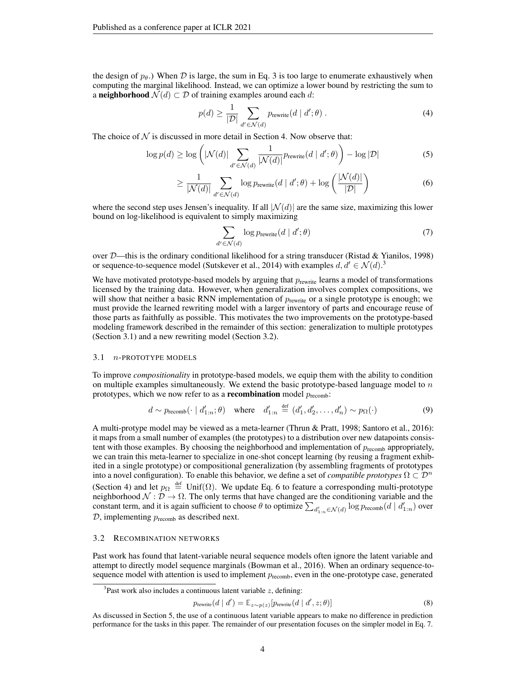the design of  $p_{\theta}$ .) When D is large, the sum in Eq. [3](#page-2-3) is too large to enumerate exhaustively when computing the marginal likelihood. Instead, we can optimize a lower bound by restricting the sum to a neighborhood  $\mathcal{N}(d) \subset \mathcal{D}$  of training examples around each d:

$$
p(d) \ge \frac{1}{|\mathcal{D}|} \sum_{d' \in \mathcal{N}(d)} p_{\text{rewrite}}(d \mid d'; \theta) \tag{4}
$$

The choice of  $N$  is discussed in more detail in Section [4.](#page-4-0) Now observe that:

 $\overline{d}$ 

$$
\log p(d) \ge \log \left( |\mathcal{N}(d)| \sum_{d' \in \mathcal{N}(d)} \frac{1}{|\mathcal{N}(d)|} p_{\text{rewrite}}(d \mid d'; \theta) \right) - \log |\mathcal{D}| \tag{5}
$$

$$
\geq \frac{1}{|\mathcal{N}(d)|} \sum_{d' \in \mathcal{N}(d)} \log p_{\text{rewrite}}(d \mid d'; \theta) + \log \left( \frac{|\mathcal{N}(d)|}{|\mathcal{D}|} \right) \tag{6}
$$

where the second step uses Jensen's inequality. If all  $|\mathcal{N}(d)|$  are the same size, maximizing this lower bound on log-likelihood is equivalent to simply maximizing

<span id="page-3-4"></span><span id="page-3-3"></span>
$$
\sum_{\ell \in \mathcal{N}(d)} \log p_{\text{rewrite}}(d \mid d'; \theta) \tag{7}
$$

over  $D$ —this is the ordinary conditional likelihood for a string transducer [\(Ristad & Yianilos, 1998\)](#page-11-8) or sequence-to-sequence model [\(Sutskever et al., 2014\)](#page-11-9) with examples  $d, d' \in \mathcal{N}(d)$ .<sup>[3](#page-3-0)</sup>

We have motivated prototype-based models by arguing that  $p_{\text{rewrite}}$  learns a model of transformations licensed by the training data. However, when generalization involves complex compositions, we will show that neither a basic RNN implementation of  $p_{\text{rewrite}}$  or a single prototype is enough; we must provide the learned rewriting model with a larger inventory of parts and encourage reuse of those parts as faithfully as possible. This motivates the two improvements on the prototype-based modeling framework described in the remainder of this section: generalization to multiple prototypes (Section [3.1\)](#page-3-1) and a new rewriting model (Section [3.2\)](#page-3-2).

#### <span id="page-3-1"></span>3.1 n-PROTOTYPE MODELS

To improve *compositionality* in prototype-based models, we equip them with the ability to condition on multiple examples simultaneously. We extend the basic prototype-based language model to  $n$ prototypes, which we now refer to as a **recombination** model  $p_{\text{recomb}}$ :

$$
d \sim p_{\text{recomb}}(\cdot \mid d'_{1:n}; \theta) \quad \text{where} \quad d'_{1:n} \stackrel{\text{def}}{=} (d'_1, d'_2, \dots, d'_n) \sim p_{\Omega}(\cdot) \tag{9}
$$

A multi-protype model may be viewed as a meta-learner [\(Thrun & Pratt, 1998;](#page-11-10) [Santoro et al., 2016\)](#page-11-1): it maps from a small number of examples (the prototypes) to a distribution over new datapoints consistent with those examples. By choosing the neighborhood and implementation of  $p_{\text{recomb}}$  appropriately, we can train this meta-learner to specialize in one-shot concept learning (by reusing a fragment exhibited in a single prototype) or compositional generalization (by assembling fragments of prototypes into a novel configuration). To enable this behavior, we define a set of *compatible prototypes*  $\Omega \subset \mathcal{D}^n$ (Section [4\)](#page-4-0) and let  $p_{\Omega} \stackrel{\text{def}}{=} \text{Unif}(\Omega)$ . We update Eq. [6](#page-3-3) to feature a corresponding multi-prototype neighborhood  $\mathcal{N}: \mathcal{D} \to \Omega$ . The only terms that have changed are the conditioning variable and the constant term, and it is again sufficient to choose  $\theta$  to optimize  $\sum_{d'_{1:n}\in\mathcal{N}(d)}\log p_{\text{recomb}}(d\mid d'_{1:n})$  over  $D$ , implementing  $p_{\text{recomb}}$  as described next.

#### <span id="page-3-2"></span>3.2 RECOMBINATION NETWORKS

Past work has found that latent-variable neural sequence models often ignore the latent variable and attempt to directly model sequence marginals [\(Bowman et al., 2016\)](#page-9-16). When an ordinary sequence-tosequence model with attention is used to implement  $p_{\text{recomb}}$ , even in the one-prototype case, generated

$$
p_{\text{rewrite}}(d \mid d') = \mathbb{E}_{z \sim p(z)}[p_{\text{rewrite}}(d \mid d', z; \theta)] \tag{8}
$$

<span id="page-3-0"></span><sup>&</sup>lt;sup>3</sup>Past work also includes a continuous latent variable  $z$ , defining:

As discussed in Section [5,](#page-5-0) the use of a continuous latent variable appears to make no difference in prediction performance for the tasks in this paper. The remainder of our presentation focuses on the simpler model in Eq. [7.](#page-3-4)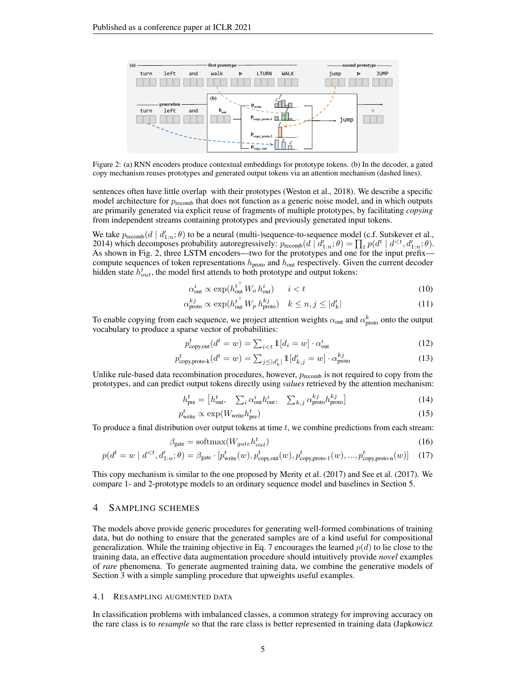<span id="page-4-1"></span>

Figure 2: (a) RNN encoders produce contextual embeddings for prototype tokens. (b) In the decoder, a gated copy mechanism reuses prototypes and generated output tokens via an attention mechanism (dashed lines).

sentences often have little overlap with their prototypes [\(Weston et al., 2018\)](#page-12-2). We describe a specific model architecture for  $p_{\text{recomb}}$  that does not function as a generic noise model, and in which outputs are primarily generated via explicit reuse of fragments of multiple prototypes, by facilitating *copying* from independent streams containing prototypes and previously generated input tokens.

We take  $p_{\text{recomb}}(d \mid d'_{1:n}; \theta)$  to be a neural (multi-)sequence-to-sequence model (c.f. [Sutskever et al.,](#page-11-9) [2014\)](#page-11-9) which decomposes probability autoregressively:  $p_{\text{recomb}}(d \mid d'_{1:n}; \theta) = \prod_t p(d^t \mid d^{.$ As shown in Fig. [2,](#page-4-1) three LSTM encoders—two for the prototypes and one for the input prefix compute sequences of token representations  $h_{\text{proto}}$  and  $h_{\text{out}}$  respectively. Given the current decoder hidden state  $h_{out}^t$ , the model first attends to both prototype and output tokens:

$$
\alpha_{\text{out}}^i \propto \exp(h_{\text{out}}^{t^\top} W_o h_{\text{out}}^i) \qquad i < t \tag{10}
$$

$$
\alpha_{\text{proto}}^{kj} \propto \exp(h_{\text{out}}^{t^{\top}} W_p h_{\text{proto}}^{kj}) \quad k \le n, j \le |d'_k| \tag{11}
$$

To enable copying from each sequence, we project attention weights  $\alpha_{\rm out}$  and  $\alpha_{\rm proto}^k$  onto the output vocabulary to produce a sparse vector of probabilities:

$$
p_{\text{copy,out}}^{t}(d^{t}=w) = \sum_{i\n(12)
$$

$$
p_{\text{copy,proto-k}}^{t}(d^{t}=w) = \sum_{j \leq |d'_{k}|} \mathbb{1}[d'_{k,j}=w] \cdot \alpha_{\text{proto}}^{kj}
$$
\n(13)

Unlike rule-based data recombination procedures, however,  $p_{recomb}$  is not required to copy from the prototypes, and can predict output tokens directly using *values* retrieved by the attention mechanism:

$$
h_{\text{pre}}^{t} = \begin{bmatrix} h_{\text{out}}^{t}, & \sum_{i} \alpha_{\text{out}}^{i} h_{\text{out}}^{i}, & \sum_{k,j} \alpha_{\text{proto}}^{kj} h_{\text{proto}}^{kj} \end{bmatrix} \tag{14}
$$

<span id="page-4-2"></span>
$$
p_{\text{write}}^t \propto \exp(W_{\text{write}} h_{\text{pre}}^t) \tag{15}
$$

To produce a final distribution over output tokens at time  $t$ , we combine predictions from each stream:

$$
\beta_{\text{gate}} = \text{softmax}(W_{gate}h_{out}^t) \tag{16}
$$

$$
p(d^t = w \mid d^{<}; d'_{1:n}; \theta) = \beta_{\text{gate}} \cdot [p^t_{\text{write}}(w), p^t_{\text{copy,out}}(w), p^t_{\text{copy,proto-1}}(w), ..., p^t_{\text{copy,proto-n}}(w)] \tag{17}
$$

This copy mechanism is similar to the one proposed by [Merity et al.](#page-11-11) [\(2017\)](#page-11-11) and [See et al.](#page-11-12) [\(2017\)](#page-11-12). We compare 1- and 2-prototype models to an ordinary sequence model and baselines in Section [5.](#page-5-0)

#### <span id="page-4-0"></span>4 SAMPLING SCHEMES

The models above provide generic procedures for generating well-formed combinations of training data, but do nothing to ensure that the generated samples are of a kind useful for compositional generalization. While the training objective in Eq. [7](#page-3-4) encourages the learned  $p(d)$  to lie close to the training data, an effective data augmentation procedure should intuitively provide *novel* examples of *rare* phenomena. To generate augmented training data, we combine the generative models of Section [3](#page-2-1) with a simple sampling procedure that upweights useful examples.

#### 4.1 RESAMPLING AUGMENTED DATA

In classification problems with imbalanced classes, a common strategy for improving accuracy on the rare class is to *resample* so that the rare class is better represented in training data [\(Japkowicz](#page-10-6)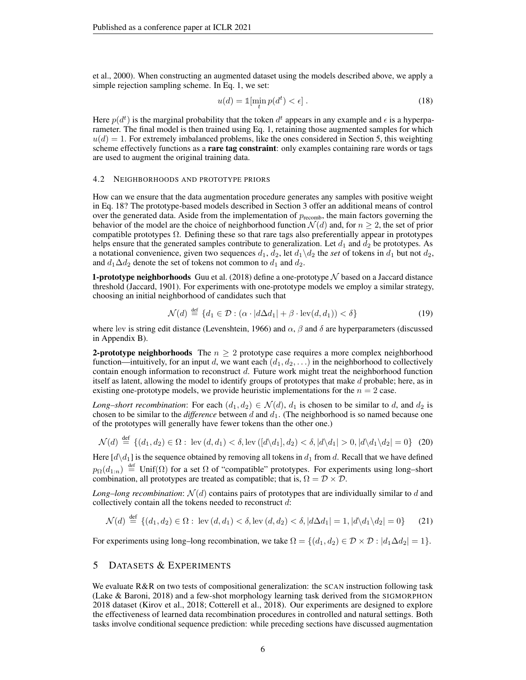[et al., 2000\)](#page-10-6). When constructing an augmented dataset using the models described above, we apply a simple rejection sampling scheme. In Eq. [1,](#page-1-1) we set:

<span id="page-5-1"></span>
$$
u(d) = \mathbb{1}[\min_t p(d^t) < \epsilon] \tag{18}
$$

Here  $p(d^t)$  is the marginal probability that the token  $d^t$  appears in any example and  $\epsilon$  is a hyperparameter. The final model is then trained using Eq. [1,](#page-1-1) retaining those augmented samples for which  $u(d) = 1$ . For extremely imbalanced problems, like the ones considered in Section [5,](#page-5-0) this weighting scheme effectively functions as a **rare tag constraint**: only examples containing rare words or tags are used to augment the original training data.

#### 4.2 NEIGHBORHOODS AND PROTOTYPE PRIORS

How can we ensure that the data augmentation procedure generates any samples with positive weight in Eq. [18?](#page-5-1) The prototype-based models described in Section [3](#page-2-1) offer an additional means of control over the generated data. Aside from the implementation of  $p_{\text{recomb}}$ , the main factors governing the behavior of the model are the choice of neighborhood function  $\mathcal{N}(d)$  and, for  $n \geq 2$ , the set of prior compatible prototypes  $\Omega$ . Defining these so that rare tags also preferentially appear in prototypes helps ensure that the generated samples contribute to generalization. Let  $d_1$  and  $d_2$  be prototypes. As a notational convenience, given two sequences  $d_1$ ,  $d_2$ , let  $d_1 \setminus d_2$  the *set* of tokens in  $d_1$  but not  $d_2$ , and  $d_1\Delta d_2$  denote the set of tokens not common to  $d_1$  and  $d_2$ .

**1-prototype neighborhoods** [Guu et al.](#page-10-8) [\(2018\)](#page-10-8) define a one-prototype  $N$  based on a Jaccard distance threshold [\(Jaccard, 1901\)](#page-10-11). For experiments with one-prototype models we employ a similar strategy, choosing an initial neighborhood of candidates such that

<span id="page-5-2"></span>
$$
\mathcal{N}(d) \stackrel{\text{def}}{=} \{d_1 \in \mathcal{D} : (\alpha \cdot |d\Delta d_1| + \beta \cdot \text{lev}(d, d_1)) < \delta\} \tag{19}
$$

where lev is string edit distance [\(Levenshtein, 1966\)](#page-10-12) and  $\alpha$ ,  $\beta$  and  $\delta$  are hyperparameters (discussed in Appendix [B\)](#page-14-0).

**2-prototype neighborhoods** The  $n \geq 2$  prototype case requires a more complex neighborhood function—intuitively, for an input d, we want each  $(d_1, d_2, \ldots)$  in the neighborhood to collectively contain enough information to reconstruct  $d$ . Future work might treat the neighborhood function itself as latent, allowing the model to identify groups of prototypes that make  $d$  probable; here, as in existing one-prototype models, we provide heuristic implementations for the  $n = 2$  case.

*Long–short recombination*: For each  $(d_1, d_2) \in \mathcal{N}(d)$ ,  $d_1$  is chosen to be similar to d, and  $d_2$  is chosen to be similar to the *difference* between  $d$  and  $d_1$ . (The neighborhood is so named because one of the prototypes will generally have fewer tokens than the other one.)

$$
\mathcal{N}(d) \stackrel{\text{def}}{=} \{ (d_1, d_2) \in \Omega : \text{lev } (d, d_1) < \delta, \text{lev } ([d \setminus d_1], d_2) < \delta, |d \setminus d_1| > 0, |d \setminus d_1 \setminus d_2| = 0 \} \tag{20}
$$

Here  $\left[\frac{d}{d_1}\right]$  is the sequence obtained by removing all tokens in  $d_1$  from d. Recall that we have defined  $p_{\Omega}(d_{1:n}) \stackrel{\text{def}}{=} \text{Unif}(\Omega)$  for a set  $\Omega$  of "compatible" prototypes. For experiments using long–short combination, all prototypes are treated as compatible; that is,  $\Omega = \mathcal{D} \times \mathcal{D}$ .

*Long–long recombination:*  $\mathcal{N}(d)$  contains pairs of prototypes that are individually similar to d and collectively contain all the tokens needed to reconstruct d:

<span id="page-5-3"></span>
$$
\mathcal{N}(d) \stackrel{\text{def}}{=} \{ (d_1, d_2) \in \Omega : \text{lev}(d, d_1) < \delta, \text{lev}(d, d_2) < \delta, |d\Delta d_1| = 1, |d \backslash d_1 \backslash d_2| = 0 \} \tag{21}
$$

For experiments using long–long recombination, we take  $\Omega = \{(d_1, d_2) \in \mathcal{D} \times \mathcal{D} : |d_1 \Delta d_2| = 1\}.$ 

## <span id="page-5-0"></span>5 DATASETS & EXPERIMENTS

We evaluate R&R on two tests of compositional generalization: the SCAN instruction following task [\(Lake & Baroni, 2018\)](#page-10-0) and a few-shot morphology learning task derived from the SIGMORPHON 2018 dataset [\(Kirov et al., 2018;](#page-10-13) [Cotterell et al., 2018\)](#page-9-5). Our experiments are designed to explore the effectiveness of learned data recombination procedures in controlled and natural settings. Both tasks involve conditional sequence prediction: while preceding sections have discussed augmentation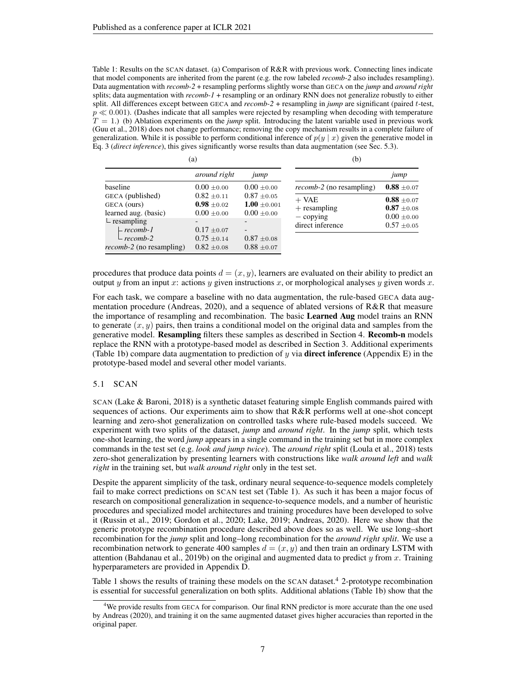<span id="page-6-0"></span> $\lambda$ 

Table 1: Results on the SCAN dataset. (a) Comparison of R&R with previous work. Connecting lines indicate that model components are inherited from the parent (e.g. the row labeled *recomb-2* also includes resampling). Data augmentation with *recomb-2* + resampling performs slightly worse than GECA on the *jump* and *around right* splits; data augmentation with *recomb-1* + resampling or an ordinary RNN does not generalize robustly to either split. All differences except between GECA and *recomb-2* + resampling in *jump* are significant (paired t-test,  $p \ll 0.001$ . (Dashes indicate that all samples were rejected by resampling when decoding with temperature  $T = 1$ .) (b) Ablation experiments on the *jump* split. Introducing the latent variable used in previous work [\(Guu et al., 2018\)](#page-10-8) does not change performance; removing the copy mechanism results in a complete failure of generalization. While it is possible to perform conditional inference of  $p(y | x)$  given the generative model in Eq. [3](#page-2-3) (*direct inference*), this gives significantly worse results than data augmentation (see Sec. [5.3\)](#page-8-1).

|                                  | (a)             |                  | (b)                                 |                 |
|----------------------------------|-----------------|------------------|-------------------------------------|-----------------|
|                                  | around right    | jump             |                                     | jump            |
| baseline                         | $0.00 \pm 0.00$ | $0.00 \pm 0.00$  | <i>recomb-2</i> (no resampling)     | $0.88 \pm 0.07$ |
| GECA (published)                 | $0.82 \pm 0.11$ | $0.87 \pm 0.05$  | $+$ VAE                             | $0.88 \pm 0.07$ |
| GECA (ours)                      | $0.98 \pm 0.02$ | $1.00 \pm 0.001$ | $+$ resampling                      | $0.87 \pm 0.08$ |
| learned aug. (basic)             | $0.00 \pm 0.00$ | $0.00 \pm 0.00$  | $-\frac{\text{copying}}{\text{op}}$ | $0.00 \pm 0.00$ |
| $\mathsf{\mathsf{L}}$ resampling |                 |                  | direct inference                    |                 |
| $-$ recomb-1                     | $0.17 \pm 0.07$ |                  |                                     | $0.57 \pm 0.05$ |
| $-$ recomb-2                     | $0.75 \pm 0.14$ | $0.87 \pm 0.08$  |                                     |                 |
| <i>recomb-2</i> (no resampling)  | $0.82 \pm 0.08$ | $0.88 \pm 0.07$  |                                     |                 |

procedures that produce data points  $d = (x, y)$ , learners are evaluated on their ability to predict an output y from an input x: actions y given instructions x, or morphological analyses y given words x.

For each task, we compare a baseline with no data augmentation, the rule-based GECA data augmentation procedure [\(Andreas, 2020\)](#page-8-0), and a sequence of ablated versions of R&R that measure the importance of resampling and recombination. The basic Learned Aug model trains an RNN to generate  $(x, y)$  pairs, then trains a conditional model on the original data and samples from the generative model. Resampling filters these samples as described in Section [4.](#page-4-0) Recomb-n models replace the RNN with a prototype-based model as described in Section [3.](#page-2-1) Additional experiments (Table [1b](#page-6-0)) compare data augmentation to prediction of y via **direct inference** (Appendix [E\)](#page-15-0) in the prototype-based model and several other model variants.

## 5.1 SCAN

SCAN [\(Lake & Baroni, 2018\)](#page-10-0) is a synthetic dataset featuring simple English commands paired with sequences of actions. Our experiments aim to show that R&R performs well at one-shot concept learning and zero-shot generalization on controlled tasks where rule-based models succeed. We experiment with two splits of the dataset, *jump* and *around right*. In the *jump* split, which tests one-shot learning, the word *jump* appears in a single command in the training set but in more complex commands in the test set (e.g. *look and jump twice*). The *around right* split [\(Loula et al., 2018\)](#page-11-13) tests zero-shot generalization by presenting learners with constructions like *walk around left* and *walk right* in the training set, but *walk around right* only in the test set.

Despite the apparent simplicity of the task, ordinary neural sequence-to-sequence models completely fail to make correct predictions on SCAN test set (Table [1\)](#page-6-0). As such it has been a major focus of research on compositional generalization in sequence-to-sequence models, and a number of heuristic procedures and specialized model architectures and training procedures have been developed to solve it [\(Russin et al., 2019;](#page-11-3) [Gordon et al., 2020;](#page-9-7) [Lake, 2019;](#page-10-14) [Andreas, 2020\)](#page-8-0). Here we show that the generic prototype recombination procedure described above does so as well. We use long–short recombination for the *jump* split and long–long recombination for the *around right split*. We use a recombination network to generate 400 samples  $d = (x, y)$  and then train an ordinary LSTM with attention (Bahdanau et al.,  $\overline{2019b}$ ) on the original and augmented data to predict y from x. Training hyperparameters are provided in Appendix [D.](#page-15-1)

Table [1](#page-6-0) shows the results of training these models on the SCAN dataset.<sup>[4](#page-6-1)</sup> 2-prototype recombination is essential for successful generalization on both splits. Additional ablations (Table [1b](#page-6-0)) show that the

<span id="page-6-1"></span><sup>&</sup>lt;sup>4</sup>We provide results from GECA for comparison. Our final RNN predictor is more accurate than the one used by [Andreas](#page-8-0) [\(2020\)](#page-8-0), and training it on the same augmented dataset gives higher accuracies than reported in the original paper.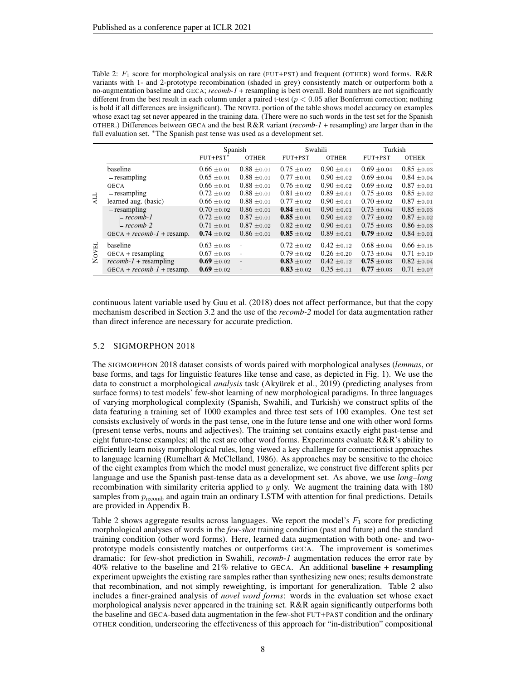<span id="page-7-0"></span>Table 2:  $F_1$  score for morphological analysis on rare (FUT+PST) and frequent (OTHER) word forms. R&R variants with 1- and 2-prototype recombination (shaded in grey) consistently match or outperform both a no-augmentation baseline and GECA; *recomb-1* + resampling is best overall. Bold numbers are not significantly different from the best result in each column under a paired t-test ( $p < 0.05$  after Bonferroni correction; nothing is bold if all differences are insignificant). The NOVEL portion of the table shows model accuracy on examples whose exact tag set never appeared in the training data. (There were no such words in the test set for the Spanish OTHER.) Differences between GECA and the best R&R variant (*recomb-1* + resampling) are larger than in the full evaluation set. <sup>\*</sup>The Spanish past tense was used as a development set.

|                     |                                  |                 | Spanish                  |                 | Swahili         | Turkish         |                 |
|---------------------|----------------------------------|-----------------|--------------------------|-----------------|-----------------|-----------------|-----------------|
|                     |                                  | $FUT+PST^*$     | <b>OTHER</b>             | FUT+PST         | <b>OTHER</b>    | FUT+PST         | <b>OTHER</b>    |
|                     | baseline                         | $0.66 \pm 0.01$ | $0.88 \pm 0.01$          | $0.75 \pm 0.02$ | $0.90 + 0.01$   | $0.69 \pm 0.04$ | $0.85 + 0.03$   |
|                     | $\mathsf{L}$ resampling          | $0.65 \pm 0.01$ | $0.88 \pm 0.01$          | $0.77 \pm 0.01$ | $0.90 \pm 0.02$ | $0.69 \pm 0.04$ | $0.84 \pm 0.04$ |
|                     | <b>GECA</b>                      | $0.66 \pm 0.01$ | $0.88 \pm 0.01$          | $0.76 \pm 0.02$ | $0.90 \pm 0.02$ | $0.69 \pm 0.02$ | $0.87 \pm 0.01$ |
|                     | $\mathsf{L}$ resampling          | $0.72 \pm 0.02$ | $0.88 \pm 0.01$          | $0.81 \pm 0.02$ | $0.89 \pm 0.01$ | $0.75 + 0.03$   | $0.85 \pm 0.02$ |
| ALL                 | learned aug. (basic)             | $0.66 \pm 0.02$ | $0.88 \pm 0.01$          | $0.77 \pm 0.02$ | $0.90 + 0.01$   | $0.70 \pm 0.02$ | $0.87 \pm 0.01$ |
|                     | $\mathsf{\mathsf{L}}$ resampling | $0.70 \pm 0.02$ | $0.86 \pm 0.01$          | $0.84 + 0.01$   | $0.90 + 0.01$   | $0.73 + 0.04$   | $0.85 \pm 0.03$ |
|                     | - recomb-1                       | $0.72 \pm 0.02$ | $0.87 \pm 0.01$          | $0.85 + 0.01$   | $0.90 + 0.02$   | $0.77 \pm 0.02$ | $0.87 \pm 0.02$ |
|                     | $-$ recomb-2                     | $0.71 \pm 0.01$ | $0.87 \pm 0.02$          | $0.82 + 0.02$   | $0.90 + 0.01$   | $0.75 \pm 0.03$ | $0.86 \pm 0.03$ |
|                     | $GECA + recomb-I + resamp.$      | $0.74 \pm 0.02$ | $0.86 \pm 0.01$          | $0.85 \pm 0.02$ | $0.89 \pm 0.01$ | $0.79 \pm 0.02$ | $0.84 \pm 0.01$ |
| 묘                   | baseline                         | $0.63 \pm 0.03$ | $\overline{\phantom{a}}$ | $0.72 \pm 0.02$ | $0.42 + 0.12$   | $0.68 \pm 0.04$ | $0.66 + 0.15$   |
| $\overline{\delta}$ | $GECA + resampling$              | $0.67 \pm 0.03$ | $\sim$                   | $0.79 \pm 0.02$ | $0.26 \pm 0.20$ | $0.73 \pm 0.04$ | $0.71 \pm 0.10$ |
| $\mathbf{z}$        | $recomb-1$ + resampling          | $0.69 \pm 0.02$ | $\overline{a}$           | $0.83 \pm 0.02$ | $0.42 \pm 0.12$ | $0.75 \pm 0.03$ | $0.82 \pm 0.04$ |
|                     | $GECA + recomb-I + resamp.$      | $0.69 \pm 0.02$ | $\overline{\phantom{a}}$ | $0.83 \pm 0.02$ | $0.35 \pm 0.11$ | $0.77 \pm 0.03$ | $0.71 \pm 0.07$ |

continuous latent variable used by [Guu et al.](#page-10-8) [\(2018\)](#page-10-8) does not affect performance, but that the copy mechanism described in Section [3.2](#page-3-2) and the use of the *recomb-2* model for data augmentation rather than direct inference are necessary for accurate prediction.

#### 5.2 SIGMORPHON 2018

The SIGMORPHON 2018 dataset consists of words paired with morphological analyses (*lemmas*, or base forms, and tags for linguistic features like tense and case, as depicted in Fig. [1\)](#page-0-0). We use the data to construct a morphological *analysis* task [\(Akyürek et al., 2019\)](#page-8-2) (predicting analyses from surface forms) to test models' few-shot learning of new morphological paradigms. In three languages of varying morphological complexity (Spanish, Swahili, and Turkish) we construct splits of the data featuring a training set of 1000 examples and three test sets of 100 examples. One test set consists exclusively of words in the past tense, one in the future tense and one with other word forms (present tense verbs, nouns and adjectives). The training set contains exactly eight past-tense and eight future-tense examples; all the rest are other word forms. Experiments evaluate R&R's ability to efficiently learn noisy morphological rules, long viewed a key challenge for connectionist approaches to language learning [\(Rumelhart & McClelland, 1986\)](#page-11-14). As approaches may be sensitive to the choice of the eight examples from which the model must generalize, we construct five different splits per language and use the Spanish past-tense data as a development set. As above, we use *long–long* recombination with similarity criteria applied to  $y$  only. We augment the training data with 180 samples from  $p_{\text{recomb}}$  and again train an ordinary LSTM with attention for final predictions. Details are provided in Appendix [B.](#page-14-0)

Table [2](#page-7-0) shows aggregate results across languages. We report the model's  $F_1$  score for predicting morphological analyses of words in the *few-shot* training condition (past and future) and the standard training condition (other word forms). Here, learned data augmentation with both one- and twoprototype models consistently matches or outperforms GECA. The improvement is sometimes dramatic: for few-shot prediction in Swahili, *recomb-1* augmentation reduces the error rate by 40% relative to the baseline and 21% relative to GECA. An additional baseline + resampling experiment upweights the existing rare samples rather than synthesizing new ones; results demonstrate that recombination, and not simply reweighting, is important for generalization. Table [2](#page-7-0) also includes a finer-grained analysis of *novel word forms*: words in the evaluation set whose exact morphological analysis never appeared in the training set. R&R again significantly outperforms both the baseline and GECA-based data augmentation in the few-shot FUT+PAST condition and the ordinary OTHER condition, underscoring the effectiveness of this approach for "in-distribution" compositional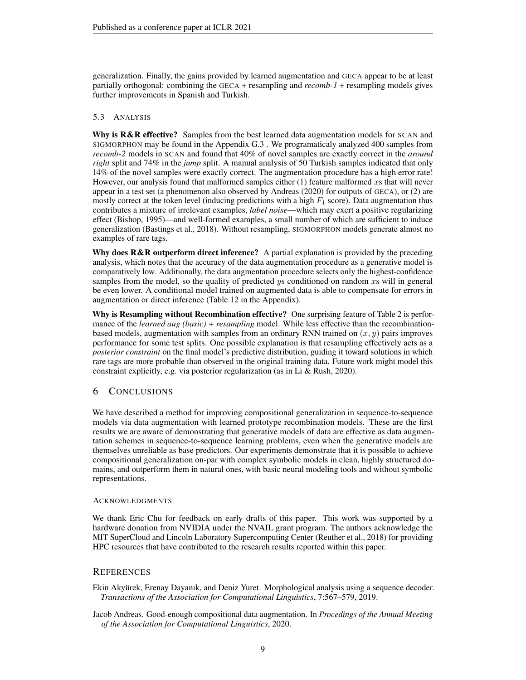generalization. Finally, the gains provided by learned augmentation and GECA appear to be at least partially orthogonal: combining the GECA + resampling and *recomb-1* + resampling models gives further improvements in Spanish and Turkish.

## <span id="page-8-1"></span>5.3 ANALYSIS

Why is R&R effective? Samples from the best learned data augmentation models for SCAN and SIGMORPHON may be found in the Appendix [G.3](#page-18-0) . We programaticaly analyzed 400 samples from *recomb-2* models in SCAN and found that 40% of novel samples are exactly correct in the *around right* split and 74% in the *jump* split. A manual analysis of 50 Turkish samples indicated that only 14% of the novel samples were exactly correct. The augmentation procedure has a high error rate! However, our analysis found that malformed samples either  $(1)$  feature malformed xs that will never appear in a test set (a phenomenon also observed by [Andreas](#page-8-0) [\(2020\)](#page-8-0) for outputs of GECA), or (2) are mostly correct at the token level (inducing predictions with a high  $F_1$  score). Data augmentation thus contributes a mixture of irrelevant examples, *label noise*—which may exert a positive regularizing effect [\(Bishop, 1995\)](#page-9-17)—and well-formed examples, a small number of which are sufficient to induce generalization [\(Bastings et al., 2018\)](#page-9-9). Without resampling, SIGMORPHON models generate almost no examples of rare tags.

Why does  $R\&R$  outperform direct inference? A partial explanation is provided by the preceding analysis, which notes that the accuracy of the data augmentation procedure as a generative model is comparatively low. Additionally, the data augmentation procedure selects only the highest-confidence samples from the model, so the quality of predicted ys conditioned on random xs will in general be even lower. A conditional model trained on augmented data is able to compensate for errors in augmentation or direct inference (Table [12](#page-18-1) in the Appendix).

Why is Resampling without Recombination effective? One surprising feature of Table [2](#page-7-0) is performance of the *learned aug (basic) + resampling* model. While less effective than the recombinationbased models, augmentation with samples from an ordinary RNN trained on  $(x, y)$  pairs improves performance for some test splits. One possible explanation is that resampling effectively acts as a *posterior constraint* on the final model's predictive distribution, guiding it toward solutions in which rare tags are more probable than observed in the original training data. Future work might model this constraint explicitly, e.g. via posterior regularization (as in [Li & Rush, 2020\)](#page-11-15).

# 6 CONCLUSIONS

We have described a method for improving compositional generalization in sequence-to-sequence models via data augmentation with learned prototype recombination models. These are the first results we are aware of demonstrating that generative models of data are effective as data augmentation schemes in sequence-to-sequence learning problems, even when the generative models are themselves unreliable as base predictors. Our experiments demonstrate that it is possible to achieve compositional generalization on-par with complex symbolic models in clean, highly structured domains, and outperform them in natural ones, with basic neural modeling tools and without symbolic representations.

## ACKNOWLEDGMENTS

We thank Eric Chu for feedback on early drafts of this paper. This work was supported by a hardware donation from NVIDIA under the NVAIL grant program. The authors acknowledge the MIT SuperCloud and Lincoln Laboratory Supercomputing Center [\(Reuther et al., 2018\)](#page-11-16) for providing HPC resources that have contributed to the research results reported within this paper.

## **REFERENCES**

<span id="page-8-2"></span>Ekin Akyürek, Erenay Dayanık, and Deniz Yuret. Morphological analysis using a sequence decoder. *Transactions of the Association for Computational Linguistics*, 7:567–579, 2019.

<span id="page-8-0"></span>Jacob Andreas. Good-enough compositional data augmentation. In *Procedings of the Annual Meeting of the Association for Computational Linguistics*, 2020.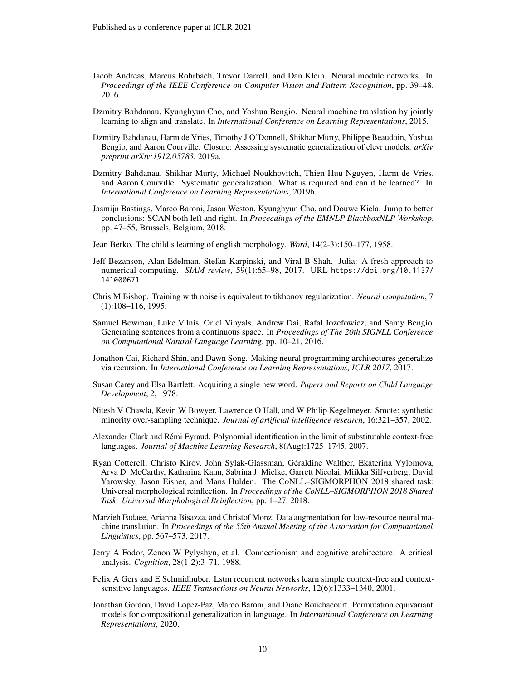- <span id="page-9-11"></span>Jacob Andreas, Marcus Rohrbach, Trevor Darrell, and Dan Klein. Neural module networks. In *Proceedings of the IEEE Conference on Computer Vision and Pattern Recognition*, pp. 39–48, 2016.
- <span id="page-9-3"></span>Dzmitry Bahdanau, Kyunghyun Cho, and Yoshua Bengio. Neural machine translation by jointly learning to align and translate. In *International Conference on Learning Representations*, 2015.
- <span id="page-9-2"></span>Dzmitry Bahdanau, Harm de Vries, Timothy J O'Donnell, Shikhar Murty, Philippe Beaudoin, Yoshua Bengio, and Aaron Courville. Closure: Assessing systematic generalization of clevr models. *arXiv preprint arXiv:1912.05783*, 2019a.
- <span id="page-9-8"></span>Dzmitry Bahdanau, Shikhar Murty, Michael Noukhovitch, Thien Huu Nguyen, Harm de Vries, and Aaron Courville. Systematic generalization: What is required and can it be learned? In *International Conference on Learning Representations*, 2019b.
- <span id="page-9-9"></span>Jasmijn Bastings, Marco Baroni, Jason Weston, Kyunghyun Cho, and Douwe Kiela. Jump to better conclusions: SCAN both left and right. In *Proceedings of the EMNLP BlackboxNLP Workshop*, pp. 47–55, Brussels, Belgium, 2018.
- <span id="page-9-1"></span>Jean Berko. The child's learning of english morphology. *Word*, 14(2-3):150–177, 1958.
- <span id="page-9-12"></span>Jeff Bezanson, Alan Edelman, Stefan Karpinski, and Viral B Shah. Julia: A fresh approach to numerical computing. *SIAM review*, 59(1):65–98, 2017. URL [https://doi.org/10.1137/](https://doi.org/10.1137/141000671) [141000671](https://doi.org/10.1137/141000671).
- <span id="page-9-17"></span>Chris M Bishop. Training with noise is equivalent to tikhonov regularization. *Neural computation*, 7 (1):108–116, 1995.
- <span id="page-9-16"></span>Samuel Bowman, Luke Vilnis, Oriol Vinyals, Andrew Dai, Rafal Jozefowicz, and Samy Bengio. Generating sentences from a continuous space. In *Proceedings of The 20th SIGNLL Conference on Computational Natural Language Learning*, pp. 10–21, 2016.
- <span id="page-9-4"></span>Jonathon Cai, Richard Shin, and Dawn Song. Making neural programming architectures generalize via recursion. In *International Conference on Learning Representations, ICLR 2017*, 2017.
- <span id="page-9-0"></span>Susan Carey and Elsa Bartlett. Acquiring a single new word. *Papers and Reports on Child Language Development*, 2, 1978.
- <span id="page-9-10"></span>Nitesh V Chawla, Kevin W Bowyer, Lawrence O Hall, and W Philip Kegelmeyer. Smote: synthetic minority over-sampling technique. *Journal of artificial intelligence research*, 16:321–357, 2002.
- <span id="page-9-14"></span>Alexander Clark and Rémi Eyraud. Polynomial identification in the limit of substitutable context-free languages. *Journal of Machine Learning Research*, 8(Aug):1725–1745, 2007.
- <span id="page-9-5"></span>Ryan Cotterell, Christo Kirov, John Sylak-Glassman, Géraldine Walther, Ekaterina Vylomova, Arya D. McCarthy, Katharina Kann, Sabrina J. Mielke, Garrett Nicolai, Miikka Silfverberg, David Yarowsky, Jason Eisner, and Mans Hulden. The CoNLL–SIGMORPHON 2018 shared task: Universal morphological reinflection. In *Proceedings of the CoNLL–SIGMORPHON 2018 Shared Task: Universal Morphological Reinflection*, pp. 1–27, 2018.
- <span id="page-9-13"></span>Marzieh Fadaee, Arianna Bisazza, and Christof Monz. Data augmentation for low-resource neural machine translation. In *Proceedings of the 55th Annual Meeting of the Association for Computational Linguistics*, pp. 567–573, 2017.
- <span id="page-9-6"></span>Jerry A Fodor, Zenon W Pylyshyn, et al. Connectionism and cognitive architecture: A critical analysis. *Cognition*, 28(1-2):3–71, 1988.
- <span id="page-9-15"></span>Felix A Gers and E Schmidhuber. Lstm recurrent networks learn simple context-free and contextsensitive languages. *IEEE Transactions on Neural Networks*, 12(6):1333–1340, 2001.
- <span id="page-9-7"></span>Jonathan Gordon, David Lopez-Paz, Marco Baroni, and Diane Bouchacourt. Permutation equivariant models for compositional generalization in language. In *International Conference on Learning Representations*, 2020.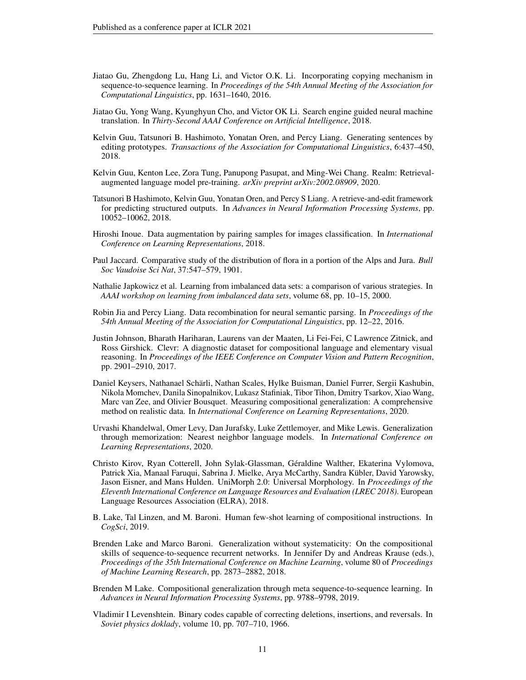- <span id="page-10-15"></span>Jiatao Gu, Zhengdong Lu, Hang Li, and Victor O.K. Li. Incorporating copying mechanism in sequence-to-sequence learning. In *Proceedings of the 54th Annual Meeting of the Association for Computational Linguistics*, pp. 1631–1640, 2016.
- <span id="page-10-2"></span>Jiatao Gu, Yong Wang, Kyunghyun Cho, and Victor OK Li. Search engine guided neural machine translation. In *Thirty-Second AAAI Conference on Artificial Intelligence*, 2018.
- <span id="page-10-8"></span>Kelvin Guu, Tatsunori B. Hashimoto, Yonatan Oren, and Percy Liang. Generating sentences by editing prototypes. *Transactions of the Association for Computational Linguistics*, 6:437–450, 2018.
- <span id="page-10-10"></span>Kelvin Guu, Kenton Lee, Zora Tung, Panupong Pasupat, and Ming-Wei Chang. Realm: Retrievalaugmented language model pre-training. *arXiv preprint arXiv:2002.08909*, 2020.
- <span id="page-10-16"></span>Tatsunori B Hashimoto, Kelvin Guu, Yonatan Oren, and Percy S Liang. A retrieve-and-edit framework for predicting structured outputs. In *Advances in Neural Information Processing Systems*, pp. 10052–10062, 2018.
- <span id="page-10-7"></span>Hiroshi Inoue. Data augmentation by pairing samples for images classification. In *International Conference on Learning Representations*, 2018.
- <span id="page-10-11"></span>Paul Jaccard. Comparative study of the distribution of flora in a portion of the Alps and Jura. *Bull Soc Vaudoise Sci Nat*, 37:547–579, 1901.
- <span id="page-10-6"></span>Nathalie Japkowicz et al. Learning from imbalanced data sets: a comparison of various strategies. In *AAAI workshop on learning from imbalanced data sets*, volume 68, pp. 10–15, 2000.
- <span id="page-10-1"></span>Robin Jia and Percy Liang. Data recombination for neural semantic parsing. In *Proceedings of the 54th Annual Meeting of the Association for Computational Linguistics*, pp. 12–22, 2016.
- <span id="page-10-5"></span>Justin Johnson, Bharath Hariharan, Laurens van der Maaten, Li Fei-Fei, C Lawrence Zitnick, and Ross Girshick. Clevr: A diagnostic dataset for compositional language and elementary visual reasoning. In *Proceedings of the IEEE Conference on Computer Vision and Pattern Recognition*, pp. 2901–2910, 2017.
- <span id="page-10-4"></span>Daniel Keysers, Nathanael Schärli, Nathan Scales, Hylke Buisman, Daniel Furrer, Sergii Kashubin, Nikola Momchev, Danila Sinopalnikov, Lukasz Stafiniak, Tibor Tihon, Dmitry Tsarkov, Xiao Wang, Marc van Zee, and Olivier Bousquet. Measuring compositional generalization: A comprehensive method on realistic data. In *International Conference on Learning Representations*, 2020.
- <span id="page-10-9"></span>Urvashi Khandelwal, Omer Levy, Dan Jurafsky, Luke Zettlemoyer, and Mike Lewis. Generalization through memorization: Nearest neighbor language models. In *International Conference on Learning Representations*, 2020.
- <span id="page-10-13"></span>Christo Kirov, Ryan Cotterell, John Sylak-Glassman, Géraldine Walther, Ekaterina Vylomova, Patrick Xia, Manaal Faruqui, Sabrina J. Mielke, Arya McCarthy, Sandra Kübler, David Yarowsky, Jason Eisner, and Mans Hulden. UniMorph 2.0: Universal Morphology. In *Proceedings of the Eleventh International Conference on Language Resources and Evaluation (LREC 2018)*. European Language Resources Association (ELRA), 2018.
- <span id="page-10-3"></span>B. Lake, Tal Linzen, and M. Baroni. Human few-shot learning of compositional instructions. In *CogSci*, 2019.
- <span id="page-10-0"></span>Brenden Lake and Marco Baroni. Generalization without systematicity: On the compositional skills of sequence-to-sequence recurrent networks. In Jennifer Dy and Andreas Krause (eds.), *Proceedings of the 35th International Conference on Machine Learning*, volume 80 of *Proceedings of Machine Learning Research*, pp. 2873–2882, 2018.
- <span id="page-10-14"></span>Brenden M Lake. Compositional generalization through meta sequence-to-sequence learning. In *Advances in Neural Information Processing Systems*, pp. 9788–9798, 2019.
- <span id="page-10-12"></span>Vladimir I Levenshtein. Binary codes capable of correcting deletions, insertions, and reversals. In *Soviet physics doklady*, volume 10, pp. 707–710, 1966.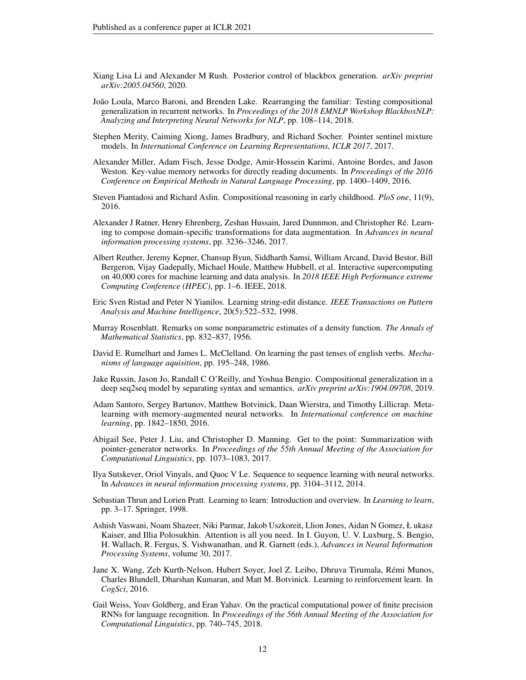- <span id="page-11-15"></span>Xiang Lisa Li and Alexander M Rush. Posterior control of blackbox generation. *arXiv preprint arXiv:2005.04560*, 2020.
- <span id="page-11-13"></span>João Loula, Marco Baroni, and Brenden Lake. Rearranging the familiar: Testing compositional generalization in recurrent networks. In *Proceedings of the 2018 EMNLP Workshop BlackboxNLP: Analyzing and Interpreting Neural Networks for NLP*, pp. 108–114, 2018.
- <span id="page-11-11"></span>Stephen Merity, Caiming Xiong, James Bradbury, and Richard Socher. Pointer sentinel mixture models. In *International Conference on Learning Representations, ICLR 2017*, 2017.
- <span id="page-11-6"></span>Alexander Miller, Adam Fisch, Jesse Dodge, Amir-Hossein Karimi, Antoine Bordes, and Jason Weston. Key-value memory networks for directly reading documents. In *Proceedings of the 2016 Conference on Empirical Methods in Natural Language Processing*, pp. 1400–1409, 2016.
- <span id="page-11-0"></span>Steven Piantadosi and Richard Aslin. Compositional reasoning in early childhood. *PloS one*, 11(9), 2016.
- <span id="page-11-4"></span>Alexander J Ratner, Henry Ehrenberg, Zeshan Hussain, Jared Dunnmon, and Christopher Ré. Learning to compose domain-specific transformations for data augmentation. In *Advances in neural information processing systems*, pp. 3236–3246, 2017.
- <span id="page-11-16"></span>Albert Reuther, Jeremy Kepner, Chansup Byun, Siddharth Samsi, William Arcand, David Bestor, Bill Bergeron, Vijay Gadepally, Michael Houle, Matthew Hubbell, et al. Interactive supercomputing on 40,000 cores for machine learning and data analysis. In *2018 IEEE High Performance extreme Computing Conference (HPEC)*, pp. 1–6. IEEE, 2018.
- <span id="page-11-8"></span>Eric Sven Ristad and Peter N Yianilos. Learning string-edit distance. *IEEE Transactions on Pattern Analysis and Machine Intelligence*, 20(5):522–532, 1998.
- <span id="page-11-5"></span>Murray Rosenblatt. Remarks on some nonparametric estimates of a density function. *The Annals of Mathematical Statistics*, pp. 832–837, 1956.
- <span id="page-11-14"></span>David E. Rumelhart and James L. McClelland. On learning the past tenses of english verbs. *Mechanisms of language aquisition*, pp. 195–248, 1986.
- <span id="page-11-3"></span>Jake Russin, Jason Jo, Randall C O'Reilly, and Yoshua Bengio. Compositional generalization in a deep seq2seq model by separating syntax and semantics. *arXiv preprint arXiv:1904.09708*, 2019.
- <span id="page-11-1"></span>Adam Santoro, Sergey Bartunov, Matthew Botvinick, Daan Wierstra, and Timothy Lillicrap. Metalearning with memory-augmented neural networks. In *International conference on machine learning*, pp. 1842–1850, 2016.
- <span id="page-11-12"></span>Abigail See, Peter J. Liu, and Christopher D. Manning. Get to the point: Summarization with pointer-generator networks. In *Proceedings of the 55th Annual Meeting of the Association for Computational Linguistics*, pp. 1073–1083, 2017.
- <span id="page-11-9"></span>Ilya Sutskever, Oriol Vinyals, and Quoc V Le. Sequence to sequence learning with neural networks. In *Advances in neural information processing systems*, pp. 3104–3112, 2014.
- <span id="page-11-10"></span>Sebastian Thrun and Lorien Pratt. Learning to learn: Introduction and overview. In *Learning to learn*, pp. 3–17. Springer, 1998.
- <span id="page-11-17"></span>Ashish Vaswani, Noam Shazeer, Niki Parmar, Jakob Uszkoreit, Llion Jones, Aidan N Gomez, Ł ukasz Kaiser, and Illia Polosukhin. Attention is all you need. In I. Guyon, U. V. Luxburg, S. Bengio, H. Wallach, R. Fergus, S. Vishwanathan, and R. Garnett (eds.), *Advances in Neural Information Processing Systems*, volume 30, 2017.
- <span id="page-11-2"></span>Jane X. Wang, Zeb Kurth-Nelson, Hubert Soyer, Joel Z. Leibo, Dhruva Tirumala, Rémi Munos, Charles Blundell, Dharshan Kumaran, and Matt M. Botvinick. Learning to reinforcement learn. In *CogSci*, 2016.
- <span id="page-11-7"></span>Gail Weiss, Yoav Goldberg, and Eran Yahav. On the practical computational power of finite precision RNNs for language recognition. In *Proceedings of the 56th Annual Meeting of the Association for Computational Linguistics*, pp. 740–745, 2018.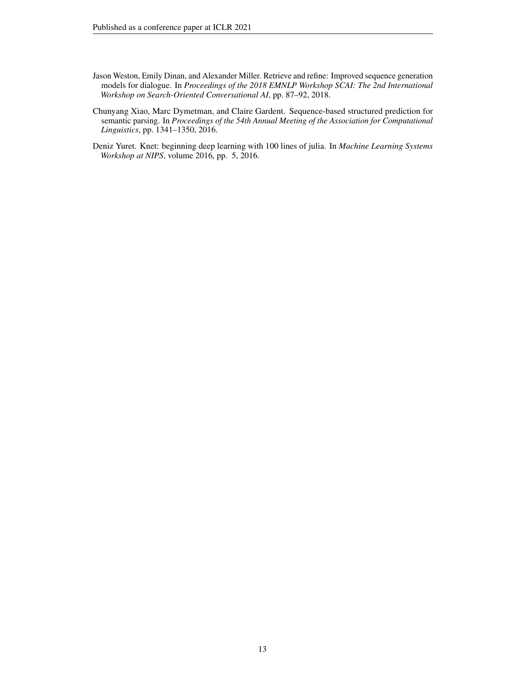- <span id="page-12-2"></span>Jason Weston, Emily Dinan, and Alexander Miller. Retrieve and refine: Improved sequence generation models for dialogue. In *Proceedings of the 2018 EMNLP Workshop SCAI: The 2nd International Workshop on Search-Oriented Conversational AI*, pp. 87–92, 2018.
- <span id="page-12-0"></span>Chunyang Xiao, Marc Dymetman, and Claire Gardent. Sequence-based structured prediction for semantic parsing. In *Proceedings of the 54th Annual Meeting of the Association for Computational Linguistics*, pp. 1341–1350, 2016.
- <span id="page-12-1"></span>Deniz Yuret. Knet: beginning deep learning with 100 lines of julia. In *Machine Learning Systems Workshop at NIPS*, volume 2016, pp. 5, 2016.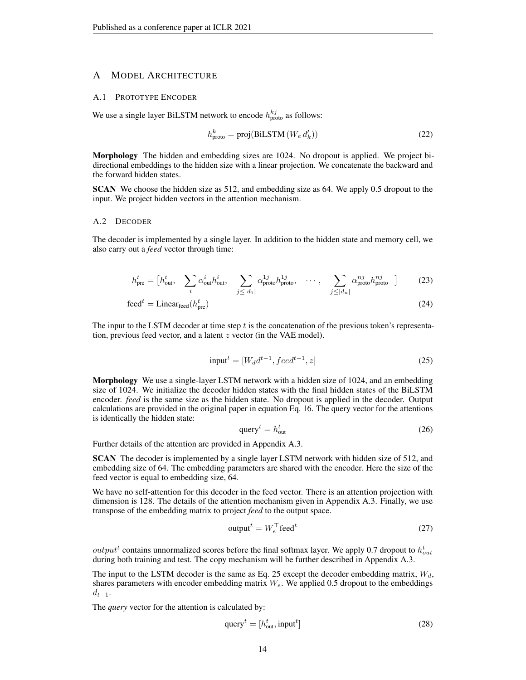## A MODEL ARCHITECTURE

#### A.1 PROTOTYPE ENCODER

We use a single layer BiLSTM network to encode  $h_{\text{proto}}^{kj}$  as follows:

$$
h_{\text{proto}}^{k} = \text{proj}(\text{BiLSTM}\left(W_{e} d_{k}'\right))\tag{22}
$$

Morphology The hidden and embedding sizes are 1024. No dropout is applied. We project bidirectional embeddings to the hidden size with a linear projection. We concatenate the backward and the forward hidden states.

SCAN We choose the hidden size as 512, and embedding size as 64. We apply 0.5 dropout to the input. We project hidden vectors in the attention mechanism.

#### <span id="page-13-1"></span>A.2 DECODER

The decoder is implemented by a single layer. In addition to the hidden state and memory cell, we also carry out a *feed* vector through time:

$$
h_{\text{pre}}^{t} = \begin{bmatrix} h_{\text{out}}^{t}, & \sum_{i} \alpha_{\text{out}}^{i} h_{\text{out}}^{i}, & \sum_{j \leq |d_{1}|} \alpha_{\text{proto}}^{1j} h_{\text{proto}}^{1j}, & \cdots, & \sum_{j \leq |d_{n}|} \alpha_{\text{proto}}^{nj} h_{\text{proto}}^{nj} \end{bmatrix} \tag{23}
$$

$$
\text{feed}^t = \text{Linear}_{\text{feed}}(h_{\text{pre}}^t) \tag{24}
$$

The input to the LSTM decoder at time step  $t$  is the concatenation of the previous token's representation, previous feed vector, and a latent z vector (in the VAE model).

<span id="page-13-0"></span>
$$
input^t = [W_d d^{t-1}, feed^{t-1}, z]
$$
\n
$$
(25)
$$

Morphology We use a single-layer LSTM network with a hidden size of 1024, and an embedding size of 1024. We initialize the decoder hidden states with the final hidden states of the BiLSTM encoder. *feed* is the same size as the hidden state. No dropout is applied in the decoder. Output calculations are provided in the original paper in equation Eq. [16.](#page-4-2) The query vector for the attentions is identically the hidden state:

$$
queryt = houtt \t(26)
$$

Further details of the attention are provided in Appendix [A.3.](#page-14-1)

SCAN The decoder is implemented by a single layer LSTM network with hidden size of 512, and embedding size of 64. The embedding parameters are shared with the encoder. Here the size of the feed vector is equal to embedding size, 64.

We have no self-attention for this decoder in the feed vector. There is an attention projection with dimension is 128. The details of the attention mechanism given in Appendix [A.3.](#page-14-1) Finally, we use transpose of the embedding matrix to project *feed* to the output space.

<span id="page-13-2"></span>
$$
\text{output}^t = W_e^\top \text{feed}^t \tag{27}
$$

 $output^t$  contains unnormalized scores before the final softmax layer. We apply 0.7 dropout to  $h_{out}^t$ during both training and test. The copy mechanism will be further described in Appendix [A.3.](#page-14-1)

The input to the LSTM decoder is the same as Eq. [25](#page-13-0) except the decoder embedding matrix,  $W_d$ , shares parameters with encoder embedding matrix  $W_e$ . We applied 0.5 dropout to the embeddings  $d_{t-1}$ .

The *query* vector for the attention is calculated by:

$$
queryt = [houtt, inputt]
$$
\n(28)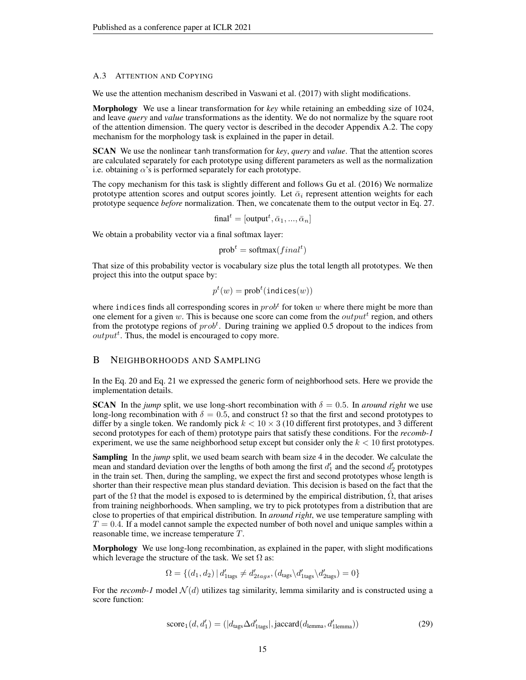#### <span id="page-14-1"></span>A.3 ATTENTION AND COPYING

We use the attention mechanism described in [Vaswani et al.](#page-11-17) [\(2017\)](#page-11-17) with slight modifications.

Morphology We use a linear transformation for *key* while retaining an embedding size of 1024, and leave *query* and *value* transformations as the identity. We do not normalize by the square root of the attention dimension. The query vector is described in the decoder Appendix [A.2.](#page-13-1) The copy mechanism for the morphology task is explained in the paper in detail.

SCAN We use the nonlinear tanh transformation for *key*, *query* and *value*. That the attention scores are calculated separately for each prototype using different parameters as well as the normalization i.e. obtaining  $\alpha$ 's is performed separately for each prototype.

The copy mechanism for this task is slightly different and follows [Gu et al.](#page-10-15) [\(2016\)](#page-10-15) We normalize prototype attention scores and output scores jointly. Let  $\bar{\alpha}_i$  represent attention weights for each prototype sequence *before* normalization. Then, we concatenate them to the output vector in Eq. [27.](#page-13-2)

$$
\text{final}^t = [\text{output}^t, \bar{\alpha}_1, ..., \bar{\alpha}_n]
$$

We obtain a probability vector via a final softmax layer:

$$
prob^t = softmax(final^t)
$$

That size of this probability vector is vocabulary size plus the total length all prototypes. We then project this into the output space by:

$$
p^t(w) = \text{prob}^t(\text{indices}(w))
$$

where indices finds all corresponding scores in  $prob<sup>t</sup>$  for token w where there might be more than one element for a given w. This is because one score can come from the  $output<sup>t</sup>$  region, and others from the prototype regions of  $prob<sup>t</sup>$ . During training we applied 0.5 dropout to the indices from  $output<sup>t</sup>$ . Thus, the model is encouraged to copy more.

#### <span id="page-14-0"></span>B NEIGHBORHOODS AND SAMPLING

In the Eq. [20](#page-5-2) and Eq. [21](#page-5-3) we expressed the generic form of neighborhood sets. Here we provide the implementation details.

**SCAN** In the *jump* split, we use long-short recombination with  $\delta = 0.5$ . In *around right* we use long-long recombination with  $\delta = 0.5$ , and construct  $\Omega$  so that the first and second prototypes to differ by a single token. We randomly pick  $k < 10 \times 3$  (10 different first prototypes, and 3 different second prototypes for each of them) prototype pairs that satisfy these conditions. For the *recomb-1* experiment, we use the same neighborhood setup except but consider only the  $k < 10$  first prototypes.

Sampling In the *jump* split, we used beam search with beam size 4 in the decoder. We calculate the mean and standard deviation over the lengths of both among the first  $d'_1$  and the second  $d'_2$  prototypes in the train set. Then, during the sampling, we expect the first and second prototypes whose length is shorter than their respective mean plus standard deviation. This decision is based on the fact that the part of the  $\Omega$  that the model is exposed to is determined by the empirical distribution,  $\Omega$ , that arises from training neighborhoods. When sampling, we try to pick prototypes from a distribution that are close to properties of that empirical distribution. In *around right*, we use temperature sampling with  $T = 0.4$ . If a model cannot sample the expected number of both novel and unique samples within a reasonable time, we increase temperature T.

Morphology We use long-long recombination, as explained in the paper, with slight modifications which leverage the structure of the task. We set  $\Omega$  as:

$$
\Omega = \{(d_1, d_2) \, | \, d'_{\text{Hags}} \neq d'_{2tags}, (d_{\text{tags}} \backslash d'_{\text{Hags}}) = 0\}
$$

For the *recomb-1* model  $\mathcal{N}(d)$  utilizes tag similarity, lemma similarity and is constructed using a score function:

$$
score1(d, d'1) = (|dtags \Delta d'1 tags|, jaccard(dlemma, d'1lemma))
$$
\n(29)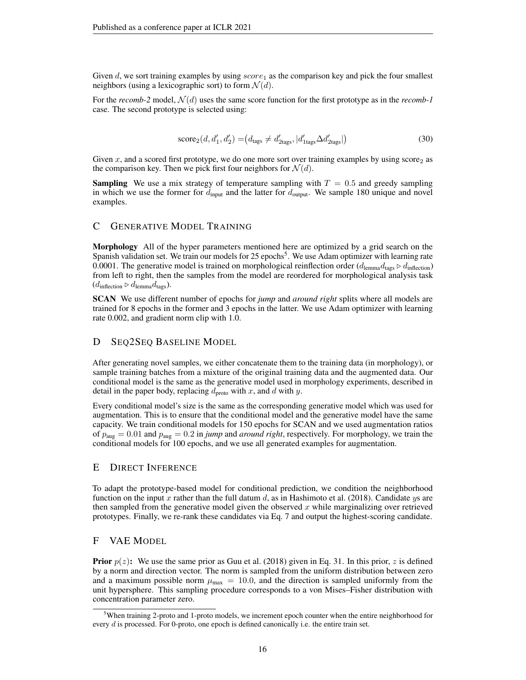Given d, we sort training examples by using  $score_1$  as the comparison key and pick the four smallest neighbors (using a lexicographic sort) to form  $\mathcal{N}(d)$ .

For the  $recomb-2$  model,  $\mathcal{N}(d)$  uses the same score function for the first prototype as in the  $recomb-1$ case. The second prototype is selected using:

$$
score_2(d, d'_1, d'_2) = (d_{\text{tags}} \neq d'_{\text{2tags}}, |d'_{\text{1tags}} \Delta d'_{\text{2tags}}|)
$$
\n(30)

Given x, and a scored first prototype, we do one more sort over training examples by using score<sub>2</sub> as the comparison key. Then we pick first four neighbors for  $\mathcal{N}(d)$ .

**Sampling** We use a mix strategy of temperature sampling with  $T = 0.5$  and greedy sampling in which we use the former for  $d_{\text{input}}$  and the latter for  $d_{\text{output}}$ . We sample 180 unique and novel examples.

## C GENERATIVE MODEL TRAINING

Morphology All of the hyper parameters mentioned here are optimized by a grid search on the Spanish validation set. We train our models for 2[5](#page-15-2) epochs<sup>5</sup>. We use Adam optimizer with learning rate 0.0001. The generative model is trained on morphological reinflection order  $(d_{\text{lemma}} d_{\text{tags}} \triangleright d_{\text{inflection}})$ from left to right, then the samples from the model are reordered for morphological analysis task  $(d_{\text{inflection}} \triangleright d_{\text{lemma}} d_{\text{tags}}).$ 

SCAN We use different number of epochs for *jump* and *around right* splits where all models are trained for 8 epochs in the former and 3 epochs in the latter. We use Adam optimizer with learning rate 0.002, and gradient norm clip with 1.0.

#### <span id="page-15-1"></span>D SEQ2SEQ BASELINE MODEL

After generating novel samples, we either concatenate them to the training data (in morphology), or sample training batches from a mixture of the original training data and the augmented data. Our conditional model is the same as the generative model used in morphology experiments, described in detail in the paper body, replacing  $d_{\text{proto}}$  with x, and d with y.

Every conditional model's size is the same as the corresponding generative model which was used for augmentation. This is to ensure that the conditional model and the generative model have the same capacity. We train conditional models for 150 epochs for SCAN and we used augmentation ratios of paug = 0.01 and paug = 0.2 in *jump* and *around right*, respectively. For morphology, we train the conditional models for 100 epochs, and we use all generated examples for augmentation.

## <span id="page-15-0"></span>E DIRECT INFERENCE

To adapt the prototype-based model for conditional prediction, we condition the neighborhood function on the input x rather than the full datum d, as in [Hashimoto et al.](#page-10-16) [\(2018\)](#page-10-16). Candidate ys are then sampled from the generative model given the observed x while marginalizing over retrieved prototypes. Finally, we re-rank these candidates via Eq. [7](#page-3-4) and output the highest-scoring candidate.

## F VAE MODEL

**Prior**  $p(z)$ : We use the same prior as [Guu et al.](#page-10-8) [\(2018\)](#page-10-8) given in Eq. [31.](#page-16-0) In this prior, z is defined by a norm and direction vector. The norm is sampled from the uniform distribution between zero and a maximum possible norm  $\mu_{\text{max}} = 10.0$ , and the direction is sampled uniformly from the unit hypersphere. This sampling procedure corresponds to a von Mises–Fisher distribution with concentration parameter zero.

<span id="page-15-2"></span> $5$ When training 2-proto and 1-proto models, we increment epoch counter when the entire neighborhood for every d is processed. For 0-proto, one epoch is defined canonically i.e. the entire train set.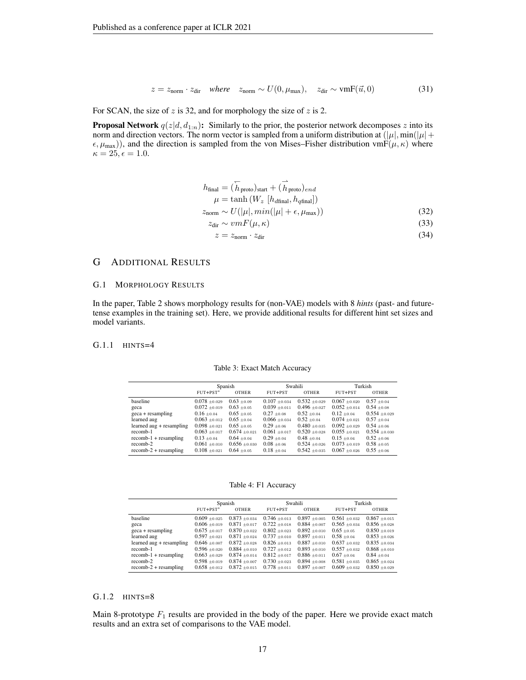<span id="page-16-0"></span>
$$
z = znorm \cdot zdir where znorm \sim U(0, \mumax), zdir \sim \text{vmF}(\vec{u}, 0)
$$
 (31)

For SCAN, the size of  $z$  is 32, and for morphology the size of  $z$  is 2.

**Proposal Network**  $q(z|d, d_{1:n})$ : Similarly to the prior, the posterior network decomposes z into its norm and direction vectors. The norm vector is sampled from a uniform distribution at  $(|\mu|, \min(|\mu| +$  $(\epsilon, \mu_{\text{max}})$ , and the direction is sampled from the von Mises–Fisher distribution vmF( $(\mu, \kappa)$ ) where  $\kappa = 25, \epsilon = 1.0.$ 

$$
h_{\text{final}} = (\overleftarrow{h}_{\text{proto}})_{\text{start}} + (\overrightarrow{h}_{\text{proto}})_{end}
$$
  

$$
\mu = \tanh (W_z \left[ h_{d\text{final}}, h_{q\text{final}} \right])
$$
  

$$
z_{\text{norm}} \sim U(|\mu|, \min(|\mu| + \epsilon, \mu_{\text{max}}))
$$
 (32)

$$
z_{\text{dir}} \sim v m F(\mu, \kappa) \tag{33}
$$

$$
z = z_{\text{norm}} \cdot z_{\text{dir}} \tag{34}
$$

## G ADDITIONAL RESULTS

#### G.1 MORPHOLOGY RESULTS

In the paper, Table [2](#page-7-0) shows morphology results for (non-VAE) models with 8 *hints* (past- and futuretense examples in the training set). Here, we provide additional results for different hint set sizes and model variants.

#### G.1.1 HINTS=4

| Table 3: Exact Match Accuracy |
|-------------------------------|
|                               |

|                                 |                   | Spanish           |                   | Swahili           |                   | Turkish           |
|---------------------------------|-------------------|-------------------|-------------------|-------------------|-------------------|-------------------|
|                                 | $FUT + PST^*$     | <b>OTHER</b>      | FUT+PST           | <b>OTHER</b>      | FUT+PST           | <b>OTHER</b>      |
| baseline                        | $0.078 \pm 0.029$ | $0.63 + 0.09$     | $0.107 \pm 0.034$ | $0.532 \pm 0.029$ | $0.067 + 0.020$   | $0.57 \pm 0.04$   |
| geca                            | $0.072 \pm 0.019$ | $0.63 \pm 0.05$   | $0.039 \pm 0.011$ | $0.496 \pm 0.027$ | $0.052 \pm 0.014$ | $0.54 \pm 0.08$   |
| $\frac{1}{2}$ geca + resampling | $0.16 \pm 0.04$   | $0.65 \pm 0.05$   | $0.27 \pm 0.08$   | $0.52 \pm 0.04$   | $0.12 \pm 0.04$   | $0.554 \pm 0.029$ |
| learned aug                     | $0.063 \pm 0.012$ | $0.65 \pm 0.04$   | $0.066 \pm 0.034$ | $0.52 \pm 0.04$   | $0.074 \pm 0.021$ | $0.57 \pm 0.04$   |
| learned aug + resampling        | $0.098 \pm 0.021$ | $0.65 \pm 0.05$   | $0.29 \pm 0.06$   | $0.480 \pm 0.035$ | $0.092 \pm 0.029$ | $0.54 \pm 0.06$   |
| recomb-1                        | $0.063 \pm 0.017$ | $0.674 \pm 0.021$ | $0.061 \pm 0.017$ | $0.520 \pm 0.028$ | $0.055 \pm 0.021$ | $0.554 \pm 0.030$ |
| $recomb-1 + resampling$         | $0.13 \pm 0.04$   | $0.64 \pm 0.04$   | $0.29 \pm 0.04$   | $0.48 \pm 0.04$   | $0.15 \pm 0.04$   | $0.52 \pm 0.06$   |
| recomb-2                        | $0.061 \pm 0.010$ | $0.656 \pm 0.030$ | $0.08 \pm 0.06$   | $0.524 \pm 0.026$ | $0.073 \pm 0.019$ | $0.58 \pm 0.05$   |
| $recomb-2 + resampling$         | $0.108 \pm 0.021$ | $0.64 \pm 0.05$   | $0.18 \pm 0.04$   | $0.542 \pm 0.035$ | $0.067 + 0.026$   | $0.55 \pm 0.06$   |

Table 4: F1 Accuracy

|                                 |                   | Spanish           |                   | Swahili           | Turkish           |                   |  |
|---------------------------------|-------------------|-------------------|-------------------|-------------------|-------------------|-------------------|--|
|                                 | $FUT + PST^*$     | <b>OTHER</b>      | FUT+PST           | <b>OTHER</b>      | FUT+PST           | <b>OTHER</b>      |  |
| baseline                        | $0.609 \pm 0.025$ | $0.873 \pm 0.034$ | $0.746 \pm 0.013$ | $0.897 + 0.005$   | $0.561 \pm 0.032$ | $0.867 + 0.015$   |  |
| geca                            | $0.606 \pm 0.019$ | $0.871 + 0.017$   | $0.722 \pm 0.018$ | $0.884 \pm 0.007$ | $0.565 \pm 0.034$ | $0.856 \pm 0.028$ |  |
| $\frac{1}{2}$ geca + resampling | $0.675 \pm 0.017$ | $0.870 \pm 0.022$ | $0.802 + 0.023$   | $0.892 \pm 0.010$ | $0.65 + 0.05$     | $0.850 \pm 0.019$ |  |
| learned aug                     | $0.597 \pm 0.021$ | $0.871 \pm 0.024$ | $0.737 \pm 0.010$ | $0.897 \pm 0.011$ | $0.58 \pm 0.04$   | $0.853 \pm 0.026$ |  |
| learned aug + resampling        | $0.646 \pm 0.007$ | $0.872 \pm 0.028$ | $0.826 \pm 0.013$ | $0.887 \pm 0.010$ | $0.637 \pm 0.032$ | $0.835 \pm 0.034$ |  |
| recomb-1                        | $0.596 \pm 0.020$ | $0.884 \pm 0.010$ | $0.727 \pm 0.012$ | $0.893 \pm 0.010$ | $0.557 \pm 0.032$ | $0.868 + 0.010$   |  |
| $recomb-1 + resampling$         | $0.663 \pm 0.029$ | $0.874 \pm 0.014$ | $0.812 \pm 0.017$ | $0.886 \pm 0.011$ | $0.67 + 0.04$     | $0.84 \pm 0.04$   |  |
| recomb-2                        | $0.598 \pm 0.019$ | $0.874 \pm 0.007$ | $0.730 + 0.023$   | $0.894 \pm 0.008$ | $0.581 \pm 0.035$ | $0.865 + 0.024$   |  |
| $recomb-2 + resampling$         | $0.658 \pm 0.012$ | $0.872 \pm 0.015$ | $0.778 \pm 0.011$ | $0.897 + 0.007$   | $0.609 \pm 0.032$ | $0.850 \pm 0.029$ |  |

## $G.1.2$  HINTS= $8$

Main 8-prototype  $F_1$  results are provided in the body of the paper. Here we provide exact match results and an extra set of comparisons to the VAE model.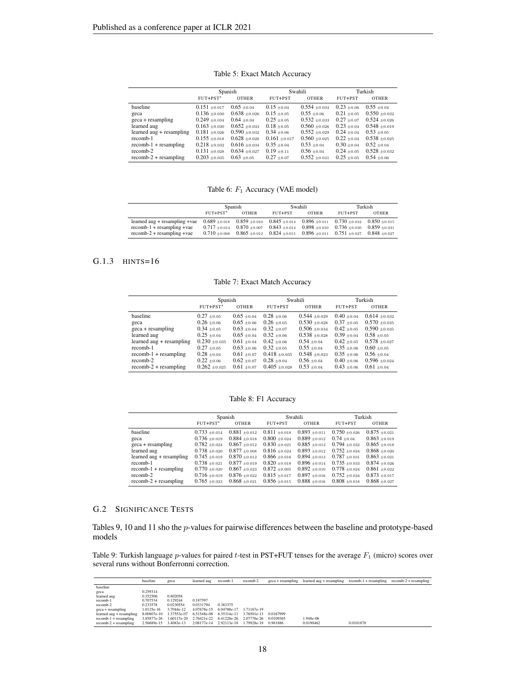| Table 5: Exact Match Accuracy |  |
|-------------------------------|--|
|-------------------------------|--|

|                                 |                   | Spanish           |                 | Swahili           | Turkish         |                   |  |
|---------------------------------|-------------------|-------------------|-----------------|-------------------|-----------------|-------------------|--|
|                                 | $FUT + PST^*$     | <b>OTHER</b>      | FUT+PST         | <b>OTHER</b>      | FUT+PST         | <b>OTHER</b>      |  |
| baseline                        | $0.151 \pm 0.017$ | $0.65 \pm 0.04$   | $0.15 \pm 0.04$ | $0.554 \pm 0.034$ | $0.23 \pm 0.06$ | $0.55 \pm 0.04$   |  |
| geca                            | $0.136 \pm 0.030$ | $0.638 \pm 0.026$ | $0.15 \pm 0.05$ | $0.55 \pm 0.06$   | $0.21 \pm 0.05$ | $0.550 \pm 0.032$ |  |
| $\frac{1}{2}$ geca + resampling | $0.249 \pm 0.034$ | $0.64 \pm 0.04$   | $0.25 \pm 0.05$ | $0.532 \pm 0.033$ | $0.27 \pm 0.07$ | $0.524 \pm 0.026$ |  |
| learned aug                     | $0.163 \pm 0.030$ | $0.652 \pm 0.033$ | $0.18 \pm 0.05$ | $0.560 \pm 0.026$ | $0.23 \pm 0.04$ | $0.548 \pm 0.019$ |  |
| learned aug + resampling        | $0.181 + 0.026$   | $0.590 \pm 0.032$ | $0.34 \pm 0.06$ | $0.552 \pm 0.029$ | $0.24 + 0.04$   | $0.53 \pm 0.05$   |  |
| recomb-1                        | $0.155 \pm 0.018$ | $0.628 \pm 0.020$ | $0.161 + 0.017$ | $0.560 + 0.025$   | $0.22 \pm 0.04$ | $0.538 \pm 0.025$ |  |
| $recomb-1 + resampling$         | $0.218 \pm 0.032$ | $0.616 \pm 0.034$ | $0.35 \pm 0.04$ | $0.53 \pm 0.04$   | $0.30 \pm 0.04$ | $0.52 \pm 0.04$   |  |
| recomb-2                        | $0.131 \pm 0.028$ | $0.634 + 0.027$   | $0.19 + 0.11$   | $0.56 \pm 0.04$   | $0.24 \pm 0.05$ | $0.528 + 0.032$   |  |
| $recomb-2 + resampling$         | $0.203 \pm 0.035$ | $0.63 \pm 0.05$   | $0.27 \pm 0.07$ | $0.552 \pm 0.031$ | $0.25 \pm 0.05$ | $0.54 \pm 0.06$   |  |

Table 6:  $F_1$  Accuracy (VAE model)

|                                  |                   | Spanish           |                   | Swahili                             | Turkish                             |                   |  |
|----------------------------------|-------------------|-------------------|-------------------|-------------------------------------|-------------------------------------|-------------------|--|
|                                  | $FUT+PST^*$       | <b>OTHER</b>      | FUT+PST           | <b>OTHER</b>                        | FUT+PST                             | <b>OTHER</b>      |  |
| $learned$ aug + resampling + vae | $0.689 \pm 0.018$ | $0.859 \pm 0.010$ | $0.845 \pm 0.014$ |                                     | $0.896 \pm 0.011$ $0.730 \pm 0.032$ | $0.850 \pm 0.015$ |  |
| $recomb-1 + resampling +vae$     | $0.717 \pm 0.014$ | $0.870 \pm 0.007$ | $0.843 \pm 0.014$ | $0.898 \pm 0.010$                   | $0.736 \pm 0.030$                   | $0.859 \pm 0.031$ |  |
| $recomb-2 + resampling +vae$     | $0.710 \pm 0.008$ | $0.865 \pm 0.012$ | $0.824 \pm 0.015$ | $0.896 \pm 0.011$ $0.751 \pm 0.027$ |                                     | $0.848 + 0.027$   |  |

## G.1.3 HINTS=16

Table 7: Exact Match Accuracy

|                                 | Spanish           |                 |                   | Swahili           |                 | Turkish           |
|---------------------------------|-------------------|-----------------|-------------------|-------------------|-----------------|-------------------|
|                                 | $FUT + PST^*$     | <b>OTHER</b>    | FUT+PST           | <b>OTHER</b>      | FUT+PST         | <b>OTHER</b>      |
| baseline                        | $0.27 \pm 0.05$   | $0.65 \pm 0.04$ | $0.28 \pm 0.06$   | $0.544 \pm 0.029$ | $0.40 \pm 0.04$ | $0.614 \pm 0.032$ |
| geca                            | $0.26 \pm 0.06$   | $0.65 \pm 0.06$ | $0.26 + 0.05$     | $0.530 \pm 0.028$ | $0.37 \pm 0.05$ | $0.570 + 0.035$   |
| $\frac{1}{2}$ geca + resampling | $0.34 \pm 0.05$   | $0.63 \pm 0.04$ | $0.32 + 0.07$     | $0.506 \pm 0.034$ | $0.42 + 0.05$   | $0.590 \pm 0.035$ |
| learned aug                     | $0.25 \pm 0.04$   | $0.65 \pm 0.04$ | $0.32 + 0.06$     | $0.538 \pm 0.028$ | $0.39 \pm 0.04$ | $0.58 \pm 0.05$   |
| learned aug + resampling        | $0.230 \pm 0.035$ | $0.61 \pm 0.04$ | $0.42 \pm 0.06$   | $0.54 + 0.04$     | $0.42 \pm 0.05$ | $0.578 + 0.027$   |
| recomb-1                        | $0.27 \pm 0.05$   | $0.63 \pm 0.06$ | $0.32 + 0.05$     | $0.55 + 0.04$     | $0.35 \pm 0.06$ | $0.60 \pm 0.05$   |
| $recomb-1 + resampling$         | $0.28 \pm 0.04$   | $0.61 \pm 0.07$ | $0.418 \pm 0.035$ | $0.548 \pm 0.023$ | $0.35 \pm 0.06$ | $0.56 + 0.04$     |
| recomb-2                        | $0.22 \pm 0.06$   | $0.62 \pm 0.07$ | $0.28 \pm 0.04$   | $0.56 \pm 0.04$   | $0.40 \pm 0.06$ | $0.596 \pm 0.024$ |
| $recomb-2 + resampling$         | $0.262 \pm 0.025$ | $0.61 \pm 0.07$ | $0.405 \pm 0.028$ | $0.53 \pm 0.04$   | $0.43 \pm 0.06$ | $0.61 \pm 0.04$   |

Table 8: F1 Accuracy

|                                 |                          | Spanish           |                   | Swahili           |                   | Turkish           |
|---------------------------------|--------------------------|-------------------|-------------------|-------------------|-------------------|-------------------|
|                                 | $FUT + PST$ <sup>*</sup> | <b>OTHER</b>      | FUT+PST           | <b>OTHER</b>      | FUT+PST           | <b>OTHER</b>      |
| baseline                        | $0.733 \pm 0.014$        | $0.881 + 0.012$   | $0.811 \pm 0.018$ | $0.893 \pm 0.011$ | $0.750 \pm 0.026$ | $0.875 + 0.021$   |
| geca                            | $0.736 \pm 0.019$        | $0.884 \pm 0.018$ | $0.800 \pm 0.024$ | $0.889 \pm 0.012$ | $0.74 \pm 0.04$   | $0.863 \pm 0.019$ |
| $\frac{1}{2}$ geca + resampling | $0.782 \pm 0.024$        | $0.867 \pm 0.012$ | $0.830 \pm 0.021$ | $0.885 \pm 0.013$ | $0.794 \pm 0.032$ | $0.865 \pm 0.018$ |
| learned aug                     | $0.738 \pm 0.020$        | $0.877 \pm 0.008$ | $0.816 \pm 0.024$ | $0.893 \pm 0.012$ | $0.752 \pm 0.024$ | $0.868 + 0.020$   |
| learned aug + resampling        | $0.745 \pm 0.019$        | $0.870 \pm 0.012$ | $0.866 \pm 0.016$ | $0.894 \pm 0.013$ | $0.787 \pm 0.031$ | $0.863 \pm 0.021$ |
| recomb-1                        | $0.738 \pm 0.021$        | $0.877 \pm 0.019$ | $0.820 \pm 0.018$ | $0.896 \pm 0.014$ | $0.735 \pm 0.033$ | $0.874 \pm 0.026$ |
| $recomb-1 + resampling$         | $0.770 \pm 0.020$        | $0.867 \pm 0.023$ | $0.872 \pm 0.005$ | $0.892 \pm 0.010$ | $0.778 \pm 0.024$ | $0.861 + 0.022$   |
| recomb-2                        | $0.716 \pm 0.019$        | $0.876 \pm 0.022$ | $0.815 \pm 0.017$ | $0.897 + 0.016$   | $0.752 \pm 0.034$ | $0.873 \pm 0.017$ |
| $recomb-2 + resampling$         | $0.765 \pm 0.023$        | $0.868 \pm 0.021$ | $0.856 \pm 0.015$ | $0.888 \pm 0.016$ | $0.808 \pm 0.018$ | $0.868 + 0.027$   |

## G.2 SIGNIFICANCE TESTS

Tables [9,](#page-17-0) [10](#page-18-2) and [11](#page-18-3) sho the p-values for pairwise differences between the baseline and prototype-based models

<span id="page-17-0"></span>Table 9: Turkish language p-values for paired t-test in PST+FUT tenses for the average  $F_1$  (micro) scores over several runs without Bonferronni correction.

|                            | baseline    | geca        | learned aug                                     | recomb-1                            | recomb-2 | geca + resampling | $learned$ aug + resampling recomb-1 + resampling |           | $recomb-2 + resampling$ |
|----------------------------|-------------|-------------|-------------------------------------------------|-------------------------------------|----------|-------------------|--------------------------------------------------|-----------|-------------------------|
| baseline                   |             |             |                                                 |                                     |          |                   |                                                  |           |                         |
| geca                       | 0.259314    |             |                                                 |                                     |          |                   |                                                  |           |                         |
| learned aug                | 0.352506    | 0.802058    |                                                 |                                     |          |                   |                                                  |           |                         |
| recomb-1                   | 0.707534    | 0.129244    | 0.187597                                        |                                     |          |                   |                                                  |           |                         |
| recomb-2                   | 0.233578    | 0.0230554   | 0.0331794                                       | 0.363375                            |          |                   |                                                  |           |                         |
| $\text{geca}$ + resampling | 1.0125e-16  | 3.7044e-12  | 4.07678e-15                                     | 6.04788e-17 1.71167e-19             |          |                   |                                                  |           |                         |
| learned aug + resampling   | 8.00807e-10 | 1.37553e-07 | 6.51548e-08 6.35314e-11 3.76501e-13             |                                     |          | 0.0167999         |                                                  |           |                         |
| $recomb-1 + resampling$    | 3.85877e-26 |             | 1.60117e-20 2.76421e-22 6.41228e-26 2.07776e-26 |                                     |          | 0.0109365         | 1.948e-06                                        |           |                         |
| $recomb-2 + resampling$    | 2.56689e-15 | 3.4083e-13  |                                                 | 2.08177e-14 2.92113e-18 1.79928e-19 |          | 0.981886          | 0.0190462                                        | 0.0101878 |                         |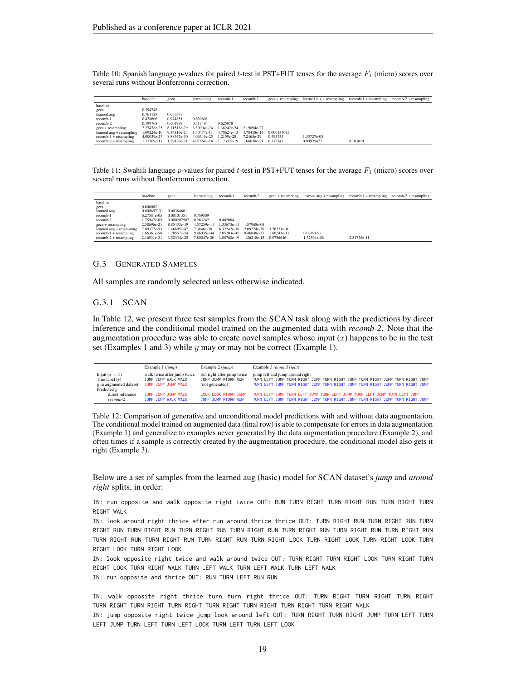<span id="page-18-2"></span>Table 10: Spanish language p-values for paired t-test in PST+FUT tenses for the average  $F_1$  (micro) scores over several runs without Bonferronni correction.

|                            | baseline    | geca                    | learned aug | recomb-1    | recomb-2    | geca + resampling | learned aug + resampling recomb-1 + resampling recomb-2 + resampling |          |  |
|----------------------------|-------------|-------------------------|-------------|-------------|-------------|-------------------|----------------------------------------------------------------------|----------|--|
| baseline                   |             |                         |             |             |             |                   |                                                                      |          |  |
| geca                       | 0.394748    |                         |             |             |             |                   |                                                                      |          |  |
| learned aug                | 0.761129    | 0.635337                |             |             |             |                   |                                                                      |          |  |
| recomb-1                   | 0.428606    | 0.974851                | 0.620601    |             |             |                   |                                                                      |          |  |
| recomb-2                   | 0.199768    | 0.601998                | 0.317494    | 0.625078    |             |                   |                                                                      |          |  |
| $\text{geca}$ + resampling | 2.27478e-25 | 6.11513e-29             | 3.30904e-24 | 1.38242e-24 | 2.19894e-27 |                   |                                                                      |          |  |
| learned aug + resampling   |             | 1.09224e-10 9.34816e-13 | 1.40474e-11 | 4.70624e-13 | 4.78418e-14 | 0.000137083       |                                                                      |          |  |
| $recomb-1 + resampling$    | 4.00039e-27 | 8.88347e-30             | 4.06546e-25 | 1.2159e-28  | 7.2465e-29  | 0.495734          | 1.35727e-05                                                          |          |  |
| $recomb-2 + resampling$    | 1.17709e-17 | 1.29429e-21             | 4.07864e-18 | 1.12332e-19 | 1.66638e-21 | 0.313143          | 0.00925477                                                           | 0.103819 |  |

<span id="page-18-3"></span>Table 11: Swahili language  $p$ -values for paired t-test in PST+FUT tenses for the average  $F_1$  (micro) scores over several runs without Bonferronni correction.

|                          | baseline    | geca        | learned aug | recomb-1    | recomb-2    | $\text{e}$ eca + resampling | learned aug + resampling | $recomb-1 + resampling$ | $recomb-2 + resampling$ |
|--------------------------|-------------|-------------|-------------|-------------|-------------|-----------------------------|--------------------------|-------------------------|-------------------------|
| baseline                 |             |             |             |             |             |                             |                          |                         |                         |
| geca                     | 0.606002    |             |             |             |             |                             |                          |                         |                         |
| learned aug              | 0.000857131 | 0.00384601  |             |             |             |                             |                          |                         |                         |
| recomb-1                 | 6.27581e-05 | 0.00101351  | 0.769589    |             |             |                             |                          |                         |                         |
| recomb-2                 | 1.75947e-05 | 0.000207507 | 0.263242    | 0.402064    |             |                             |                          |                         |                         |
| geca + resampling        | 2.58696e-21 | 8.85433e-19 | 4.57259e-11 | 1.33673e-11 | 87968e-08   |                             |                          |                         |                         |
| learned aug + resampling | 7.09377e-53 | 1.46895e-47 | 2.3846e-38  | 6.32242e-38 | 2.09274e-30 | 3.26321e-10                 |                          |                         |                         |
| $recomb-1 + resampling$  | 1.66361e-58 | 1.28557e-54 | 9.46035e-44 | 2.05703e-45 | 9.46848e-37 | 1.60241e-17                 | 0.0749463                |                         |                         |
| $recomb-2 + resampling$  | 2.16531e-31 | 3.52334e-25 | 7.80047e-20 | 1.08762e-19 | 1.26218e-15 | 0.0756646                   | 1.52594e-06              | 2.51776e-11             |                         |

#### <span id="page-18-0"></span>G.3 GENERATED SAMPLES

All samples are randomly selected unless otherwise indicated.

#### G.3.1 SCAN

In Table [12,](#page-18-1) we present three test samples from the SCAN task along with the predictions by direct inference and the conditional model trained on the augmented data with *recomb-2*. Note that the augmentation procedure was able to create novel samples whose input  $(x)$  happens to be in the test set (Examples 1 and 3) while  $y$  may or may not be correct (Example 1).

<span id="page-18-1"></span>

|                                | Example 1 (jump)            | Example $2$ ( $jump$ )      | Example 3 (around right)                                                       |
|--------------------------------|-----------------------------|-----------------------------|--------------------------------------------------------------------------------|
| Input $(x = \hat{x})$          | walk twice after jump twice | run right after jump twice  | jump left and jump around right                                                |
| True label $(v)$               | TUMP TUMP WALK WALK         | JUMP JUMP RTURN RUN         | TURN LEFT JUMP TURN RIGHT JUMP TURN RIGHT JUMP TURN RIGHT JUMP TURN RIGHT JUMP |
| $\hat{y}$ in augmented dataset | JUMP JUMP JUMP WALK         | (not generated)             | TURN LEFT JUMP TURN RIGHT JUMP TURN RIGHT JUMP TURN RIGHT JUMP TURN RIGHT JUMP |
| Predicted $\hat{y}$            |                             |                             |                                                                                |
| $\vdash$ direct inference      | JUMP JUMP JUMP WALK         | <b>LOOK LOOK RTURN TUMP</b> | TURN LEFT JUMP TURN LEFT JUMP TURN LEFT JUMP TURN LEFT JUMP TURN LEFT JUMP     |
| $-$ recomb-2                   | TUMP TUMP WALK WALK         | JUMP JUMP RTURN RUN         | TURN LEET JUMP TURN RIGHT JUMP TURN RIGHT JUMP TURN RIGHT JUMP TURN RIGHT JUMP |

Table 12: Comparison of generative and unconditional model predictions with and without data augmentation. The conditional model trained on augmented data (final row) is able to compensate for errors in data augmentation (Example 1) and generalize to examples never generated by the data augmentation procedure (Example 2), and often times if a sample is correctly created by the augmentation procedure, the conditional model also gets it right (Example 3).

Below are a set of samples from the learned aug (basic) model for SCAN dataset's *jump* and *around right* splits, in order:

IN: run opposite and walk opposite right twice OUT: RUN TURN RIGHT TURN RIGHT RUN TURN RIGHT TURN RIGHT WALK

IN: look around right thrice after run around thrice thrice OUT: TURN RIGHT RUN TURN RIGHT RUN TURN RIGHT RUN TURN RIGHT RUN TURN RIGHT RUN TURN RIGHT RUN TURN RIGHT RUN TURN RIGHT RUN TURN RIGHT RUN TURN RIGHT RUN TURN RIGHT RUN TURN RIGHT RUN TURN RIGHT LOOK TURN RIGHT LOOK TURN RIGHT LOOK TURN RIGHT LOOK TURN RIGHT LOOK

IN: look opposite right twice and walk around twice OUT: TURN RIGHT TURN RIGHT LOOK TURN RIGHT TURN RIGHT LOOK TURN RIGHT WALK TURN LEFT WALK TURN LEFT WALK TURN LEFT WALK IN: run opposite and thrice OUT: RUN TURN LEFT RUN RUN

IN: walk opposite right thrice turn turn right thrice OUT: TURN RIGHT TURN RIGHT TURN RIGHT TURN RIGHT TURN RIGHT TURN RIGHT TURN RIGHT TURN RIGHT TURN RIGHT TURN RIGHT WALK

IN: jump opposite right twice jump look around left OUT: TURN RIGHT TURN RIGHT JUMP TURN LEFT TURN LEFT JUMP TURN LEFT TURN LEFT LOOK TURN LEFT TURN LEFT LOOK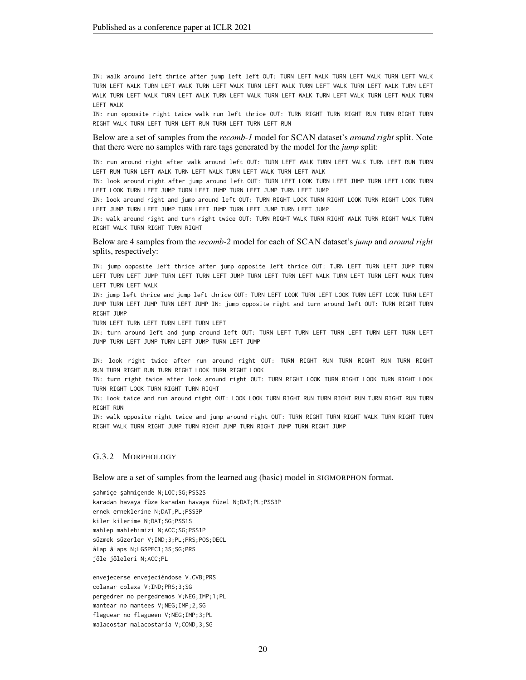IN: walk around left thrice after jump left left OUT: TURN LEFT WALK TURN LEFT WALK TURN LEFT WALK TURN LEFT WALK TURN LEFT WALK TURN LEFT WALK TURN LEFT WALK TURN LEFT WALK TURN LEFT WALK TURN LEFT WALK TURN LEFT WALK TURN LEFT WALK TURN LEFT WALK TURN LEFT WALK TURN LEFT WALK TURN LEFT WALK TURN LEFT WALK

IN: run opposite right twice walk run left thrice OUT: TURN RIGHT TURN RIGHT RUN TURN RIGHT TURN RIGHT WALK TURN LEFT TURN LEFT RUN TURN LEFT TURN LEFT RUN

Below are a set of samples from the *recomb-1* model for SCAN dataset's *around right* split. Note that there were no samples with rare tags generated by the model for the *jump* split:

IN: run around right after walk around left OUT: TURN LEFT WALK TURN LEFT WALK TURN LEFT RUN TURN LEFT RUN TURN LEFT WALK TURN LEFT WALK TURN LEFT WALK TURN LEFT WALK

IN: look around right after jump around left OUT: TURN LEFT LOOK TURN LEFT JUMP TURN LEFT LOOK TURN LEFT LOOK TURN LEFT JUMP TURN LEFT JUMP TURN LEFT JUMP TURN LEFT JUMP

IN: look around right and jump around left OUT: TURN RIGHT LOOK TURN RIGHT LOOK TURN RIGHT LOOK TURN LEFT JUMP TURN LEFT JUMP TURN LEFT JUMP TURN LEFT JUMP TURN LEFT JUMP

IN: walk around right and turn right twice OUT: TURN RIGHT WALK TURN RIGHT WALK TURN RIGHT WALK TURN RIGHT WALK TURN RIGHT TURN RIGHT

Below are 4 samples from the *recomb-2* model for each of SCAN dataset's *jump* and *around right* splits, respectively:

IN: jump opposite left thrice after jump opposite left thrice OUT: TURN LEFT TURN LEFT JUMP TURN LEFT TURN LEFT JUMP TURN LEFT TURN LEFT JUMP TURN LEFT TURN LEFT WALK TURN LEFT TURN LEFT WALK TURN LEFT TURN LEFT WALK

IN: jump left thrice and jump left thrice OUT: TURN LEFT LOOK TURN LEFT LOOK TURN LEFT LOOK TURN LEFT JUMP TURN LEFT JUMP TURN LEFT JUMP IN: jump opposite right and turn around left OUT: TURN RIGHT TURN RIGHT JUMP

TURN LEFT TURN LEFT TURN LEFT TURN LEFT

IN: turn around left and jump around left OUT: TURN LEFT TURN LEFT TURN LEFT TURN LEFT TURN LEFT JUMP TURN LEFT JUMP TURN LEFT JUMP TURN LEFT JUMP

IN: look right twice after run around right OUT: TURN RIGHT RUN TURN RIGHT RUN TURN RIGHT RUN TURN RIGHT RUN TURN RIGHT LOOK TURN RIGHT LOOK

IN: turn right twice after look around right OUT: TURN RIGHT LOOK TURN RIGHT LOOK TURN RIGHT LOOK TURN RIGHT LOOK TURN RIGHT TURN RIGHT

IN: look twice and run around right OUT: LOOK LOOK TURN RIGHT RUN TURN RIGHT RUN TURN RIGHT RUN TURN RIGHT RUN

IN: walk opposite right twice and jump around right OUT: TURN RIGHT TURN RIGHT WALK TURN RIGHT TURN RIGHT WALK TURN RIGHT JUMP TURN RIGHT JUMP TURN RIGHT JUMP TURN RIGHT JUMP

#### G.3.2 MORPHOLOGY

Below are a set of samples from the learned aug (basic) model in SIGMORPHON format.

şahmiçe şahmiçende N;LOC;SG;PSS2S karadan havaya füze karadan havaya füzel N;DAT;PL;PSS3P ernek erneklerine N;DAT;PL;PSS3P kiler kilerime N;DAT;SG;PSS1S mahlep mahlebimizi N;ACC;SG;PSS1P süzmek süzerler V;IND;3;PL;PRS;POS;DECL âlap âlaps N;LGSPEC1;3S;SG;PRS jöle jöleleri N;ACC;PL

envejecerse envejeciéndose V.CVB;PRS colaxar colaxa V;IND;PRS;3;SG pergedrer no pergedremos V;NEG;IMP;1;PL mantear no mantees V;NEG;IMP;2;SG flaguear no flagueen V;NEG;IMP;3;PL malacostar malacostaría V;COND;3;SG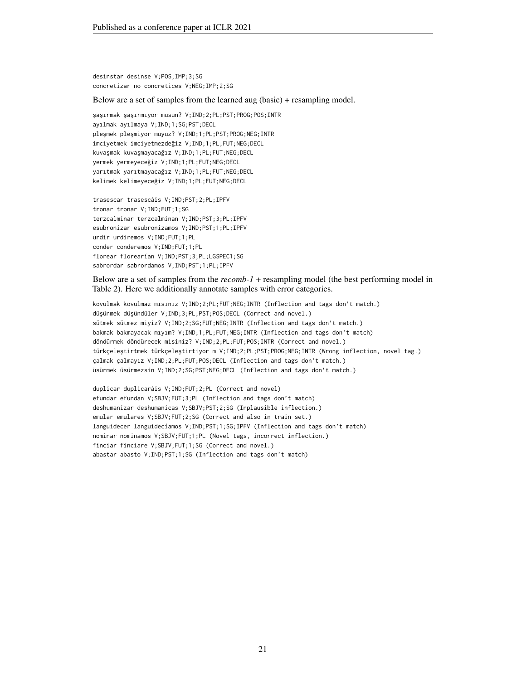desinstar desinse V;POS;IMP;3;SG concretizar no concretices V;NEG;IMP;2;SG

Below are a set of samples from the learned aug (basic) + resampling model.

şaşırmak şaşırmıyor musun? V;IND;2;PL;PST;PROG;POS;INTR ayılmak ayılmaya V;IND;1;SG;PST;DECL pleşmek pleşmiyor muyuz? V;IND;1;PL;PST;PROG;NEG;INTR imciyetmek imciyetmezdeğiz V;IND;1;PL;FUT;NEG;DECL kuvaşmak kuvaşmayacağız V;IND;1;PL;FUT;NEG;DECL yermek yermeyeceğiz V;IND;1;PL;FUT;NEG;DECL yarıtmak yarıtmayacağız V;IND;1;PL;FUT;NEG;DECL kelimek kelimeyeceğiz V;IND;1;PL;FUT;NEG;DECL

trasescar trasescáis V;IND;PST;2;PL;IPFV tronar tronar V;IND;FUT;1;SG terzcalminar terzcalminan V;IND;PST;3;PL;IPFV esubronizar esubronizamos V;IND;PST;1;PL;IPFV urdir urdiremos V;IND;FUT;1;PL conder conderemos V;IND;FUT;1;PL florear florearían V;IND;PST;3;PL;LGSPEC1;SG sabrordar sabrordamos V;IND;PST;1;PL;IPFV

Below are a set of samples from the *recomb-1* + resampling model (the best performing model in Table [2\)](#page-7-0). Here we additionally annotate samples with error categories.

kovulmak kovulmaz mısınız V;IND;2;PL;FUT;NEG;INTR (Inflection and tags don't match.) düşünmek düşündüler V;IND;3;PL;PST;POS;DECL (Correct and novel.) sütmek sütmez miyiz? V;IND;2;SG;FUT;NEG;INTR (Inflection and tags don't match.) bakmak bakmayacak mıyım? V;IND;1;PL;FUT;NEG;INTR (Inflection and tags don't match) döndürmek döndürecek misiniz? V;IND;2;PL;FUT;POS;INTR (Correct and novel.) türkçeleştirtmek türkçeleştirtiyor m V;IND;2;PL;PST;PROG;NEG;INTR (Wrong inflection, novel tag.) çalmak çalmayız V;IND;2;PL;FUT;POS;DECL (Inflection and tags don't match.) üsürmek üsürmezsin V;IND;2;SG;PST;NEG;DECL (Inflection and tags don't match.)

```
duplicar duplicaráis V;IND;FUT;2;PL (Correct and novel)
efundar efundan V;SBJV;FUT;3;PL (Inflection and tags don't match)
deshumanizar deshumanicas V;SBJV;PST;2;SG (Inplausible inflection.)
emular emulares V;SBJV;FUT;2;SG (Correct and also in train set.)
languidecer languidecíamos V;IND;PST;1;SG;IPFV (Inflection and tags don't match)
nominar nominamos V;SBJV;FUT;1;PL (Novel tags, incorrect inflection.)
finciar finciare V;SBJV;FUT;1;SG (Correct and novel.)
abastar abasto V;IND;PST;1;SG (Inflection and tags don't match)
```